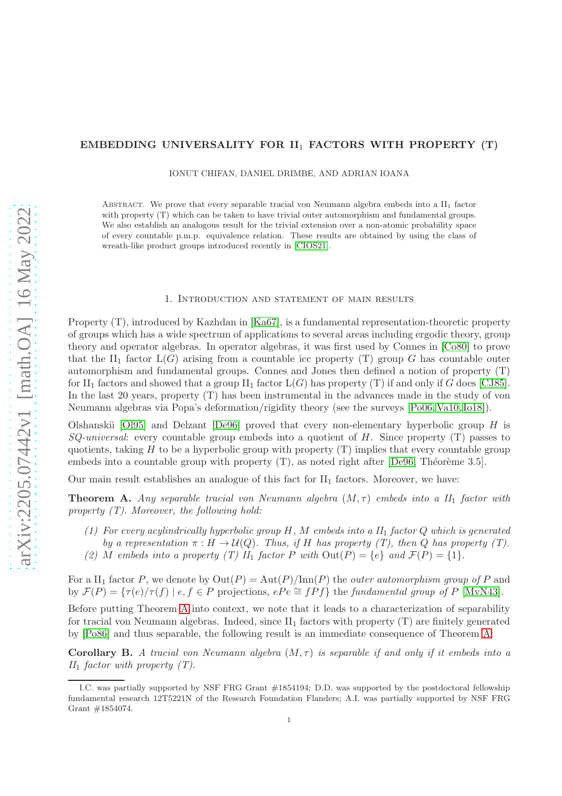### EMBEDDING UNIVERSALITY FOR II<sup>1</sup> FACTORS WITH PROPERTY (T)

IONUT CHIFAN, DANIEL DRIMBE, AND ADRIAN IOANA

ABSTRACT. We prove that every separable tracial von Neumann algebra embeds into a  $II_1$  factor with property (T) which can be taken to have trivial outer automorphism and fundamental groups. We also establish an analogous result for the trivial extension over a non-atomic probability space of every countable p.m.p. equivalence relation. These results are obtained by using the class of wreath-like product groups introduced recently in [\[CIOS21\]](#page-15-0).

#### 1. Introduction and statement of main results

Property (T), introduced by Kazhdan in [\[Ka67\]](#page-16-0), is a fundamental representation-theoretic property of groups which has a wide spectrum of applications to several areas including ergodic theory, group theory and operator algebras. In operator algebras, it was first used by Connes in [\[Co80\]](#page-15-1) to prove that the II<sub>1</sub> factor  $L(G)$  arising from a countable icc property (T) group G has countable outer automorphism and fundamental groups. Connes and Jones then defined a notion of property (T) for  $II_1$  factors and showed that a group  $II_1$  factor  $L(G)$  has property (T) if and only if G does [\[CJ85\]](#page-15-2). In the last 20 years, property (T) has been instrumental in the advances made in the study of von Neumann algebras via Popa's deformation/rigidity theory (see the surveys [\[Po06,](#page-16-1) [Va10,](#page-16-2) [Io18\]](#page-15-3)).

Olshanskii  $[O195]$  and Delzant  $[De96]$  proved that every non-elementary hyperbolic group H is  $SQ\text{-}universal:$  every countable group embeds into a quotient of H. Since property (T) passes to quotients, taking  $H$  to be a hyperbolic group with property  $(T)$  implies that every countable group embeds into a countable group with property  $(T)$ , as noted right after [\[De96,](#page-15-4) Théorème 3.5].

Our main result establishes an analogue of this fact for  $II<sub>1</sub>$  factors. Moreover, we have:

<span id="page-0-0"></span>**Theorem A.** Any separable tracial von Neumann algebra  $(M, \tau)$  embeds into a  $II_1$  factor with property  $(T)$ . Moreover, the following hold:

- (1) For every acylindrically hyperbolic group  $H, M$  embeds into a  $II<sub>1</sub>$  factor Q which is generated by a representation  $\pi : H \to \mathcal{U}(Q)$ . Thus, if H has property (T), then Q has property (T).
- (2) M embeds into a property (T)  $II_1$  factor P with  $Out(P) = \{e\}$  and  $\mathcal{F}(P) = \{1\}.$

For a  $II_1$  factor P, we denote by  $Out(P) = Aut(P)/Inn(P)$  the *outer automorphism group of* P and by  $\mathcal{F}(P) = \{\tau(e)/\tau(f) \mid e, f \in P \text{ projections}, ePe \cong fPf\}$  the fundamental group of P [\[MvN43\]](#page-16-4).

Before putting Theorem [A](#page-0-0) into context, we note that it leads to a characterization of separability for tracial von Neumann algebras. Indeed, since  $II_1$  factors with property  $(T)$  are finitely generated by [\[Po86\]](#page-16-5) and thus separable, the following result is an immediate consequence of Theorem [A:](#page-0-0)

<span id="page-0-1"></span>**Corollary B.** A tracial von Neumann algebra  $(M, \tau)$  is separable if and only if it embeds into a  $II_1$  factor with property  $(T)$ .

I.C. was partially supported by NSF FRG Grant #1854194; D.D. was supported by the postdoctoral fellowship fundamental research 12T5221N of the Research Foundation Flanders; A.I. was partially supported by NSF FRG Grant #1854074.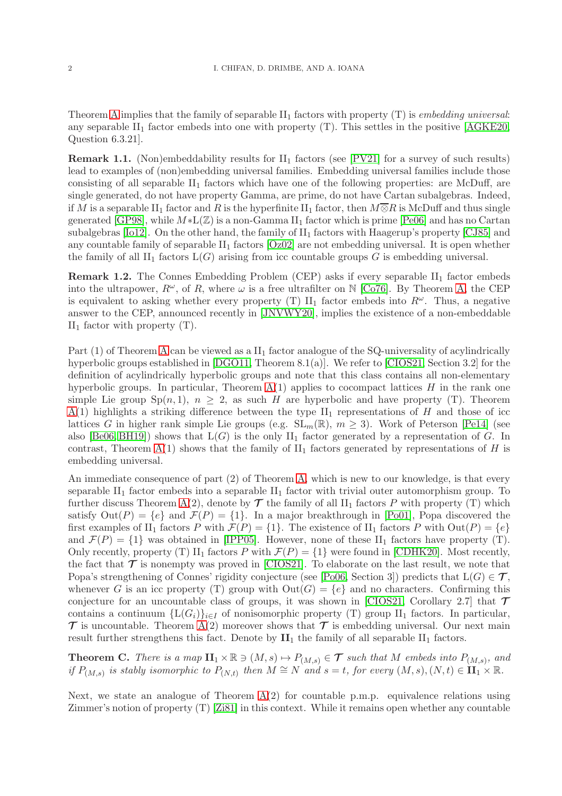Theorem [A](#page-0-0) implies that the family of separable  $II_1$  factors with property (T) is *embedding universal:* any separable  $II_1$  factor embeds into one with property  $(T)$ . This settles in the positive  $[AGKE20]$ , Question 6.3.21].

**Remark 1.1.** (Non)embeddability results for  $II_1$  factors (see [\[PV21\]](#page-16-6) for a survey of such results) lead to examples of (non)embedding universal families. Embedding universal families include those consisting of all separable  $II_1$  factors which have one of the following properties: are McDuff, are single generated, do not have property Gamma, are prime, do not have Cartan subalgebras. Indeed, if M is a separable II<sub>1</sub> factor and R is the hyperfinite II<sub>1</sub> factor, then  $M\overline{\otimes}R$  is McDuff and thus single generated [\[GP98\]](#page-15-6), while  $M*L(\mathbb{Z})$  is a non-Gamma II<sub>1</sub> factor which is prime [\[Pe06\]](#page-16-7) and has no Cartan subalgebras [\[Io12\]](#page-15-7). On the other hand, the family of  $II_1$  factors with Haagerup's property [\[CJ85\]](#page-15-2) and any countable family of separable  $II_1$  factors  $[Oz02]$  are not embedding universal. It is open whether the family of all  $II_1$  factors  $L(G)$  arising from icc countable groups G is embedding universal.

**Remark 1.2.** The Connes Embedding Problem (CEP) asks if every separable  $II_1$  factor embeds into the ultrapower,  $R^{\omega}$ , of R, where  $\omega$  is a free ultrafilter on N [\[Co76\]](#page-15-8). By Theorem [A,](#page-0-0) the CEP is equivalent to asking whether every property (T)  $II_1$  factor embeds into  $R^{\omega}$ . Thus, a negative answer to the CEP, announced recently in [\[JNVWY20\]](#page-15-9), implies the existence of a non-embeddable  $II_1$  factor with property  $(T)$ .

Part  $(1)$  of Theorem [A](#page-0-0) can be viewed as a  $II<sub>1</sub>$  factor analogue of the SQ-universality of acylindrically hyperbolic groups established in [\[DGO11,](#page-15-10) Theorem 8.1(a)]. We refer to [\[CIOS21,](#page-15-0) Section 3.2] for the definition of acylindrically hyperbolic groups and note that this class contains all non-elementary hyperbolic groups. In particular, Theorem  $A(1)$  applies to cocompact lattices H in the rank one simple Lie group  $\text{Sp}(n,1)$ ,  $n \geq 2$ , as such H are hyperbolic and have property (T). Theorem  $A(1)$  $A(1)$  highlights a striking difference between the type  $II_1$  representations of H and those of icc lattices G in higher rank simple Lie groups (e.g.  $SL_m(\mathbb{R})$ ,  $m \geq 3$ ). Work of Peterson [\[Pe14\]](#page-16-9) (see also [\[Be06,](#page-15-11) [BH19\]](#page-15-12)) shows that  $L(G)$  is the only  $II_1$  factor generated by a representation of G. In contrast, Theorem [A\(](#page-0-0)1) shows that the family of  $II_1$  factors generated by representations of H is embedding universal.

An immediate consequence of part (2) of Theorem [A,](#page-0-0) which is new to our knowledge, is that every separable  $II_1$  factor embeds into a separable  $II_1$  factor with trivial outer automorphism group. To further discuss Theorem [A\(](#page-0-0)2), denote by  $\mathcal T$  the family of all II<sub>1</sub> factors P with property (T) which satisfy  $Out(P) = \{e\}$  and  $\mathcal{F}(P) = \{1\}$ . In a major breakthrough in [\[Po01\]](#page-16-10), Popa discovered the first examples of II<sub>1</sub> factors P with  $\mathcal{F}(P) = \{1\}$ . The existence of II<sub>1</sub> factors P with  $Out(P) = \{e\}$ and  $\mathcal{F}(P) = \{1\}$  was obtained in [\[IPP05\]](#page-15-13). However, none of these II<sub>1</sub> factors have property (T). Only recently, property (T) II<sub>1</sub> factors P with  $\mathcal{F}(P) = \{1\}$  were found in [\[CDHK20\]](#page-15-14). Most recently, the fact that  $\mathcal T$  is nonempty was proved in [\[CIOS21\]](#page-15-0). To elaborate on the last result, we note that Popa's strengthening of Connes' rigidity conjecture (see [\[Po06,](#page-16-1) Section 3]) predicts that  $L(G) \in \mathcal{T}$ , whenever G is an icc property (T) group with  $Out(G) = \{e\}$  and no characters. Confirming this conjecture for an uncountable class of groups, it was shown in [\[CIOS21,](#page-15-0) Corollary 2.7] that  $\tau$ contains a continuum  ${L(G_i)}_{i\in I}$  of nonisomorphic property (T) group  $II_1$  factors. In particular,  $\mathcal T$  is uncountable. Theorem [A\(](#page-0-0)2) moreover shows that  $\mathcal T$  is embedding universal. Our next main result further strengthens this fact. Denote by  $\mathbf{II}_1$  the family of all separable  $\mathrm{II}_1$  factors.

<span id="page-1-0"></span>**Theorem C.** There is a map  $\mathbf{II}_1 \times \mathbb{R} \ni (M, s) \mapsto P_{(M, s)} \in \mathcal{T}$  such that M embeds into  $P_{(M, s)}$ , and if  $P_{(M,s)}$  is stably isomorphic to  $P_{(N,t)}$  then  $M \cong N$  and  $s = t$ , for every  $(M, s), (N, t) \in \overline{\mathbf{H}_1} \times \mathbb{R}$ .

Next, we state an analogue of Theorem  $A(2)$  for countable p.m.p. equivalence relations using Zimmer's notion of property (T) [\[Zi81\]](#page-16-11) in this context. While it remains open whether any countable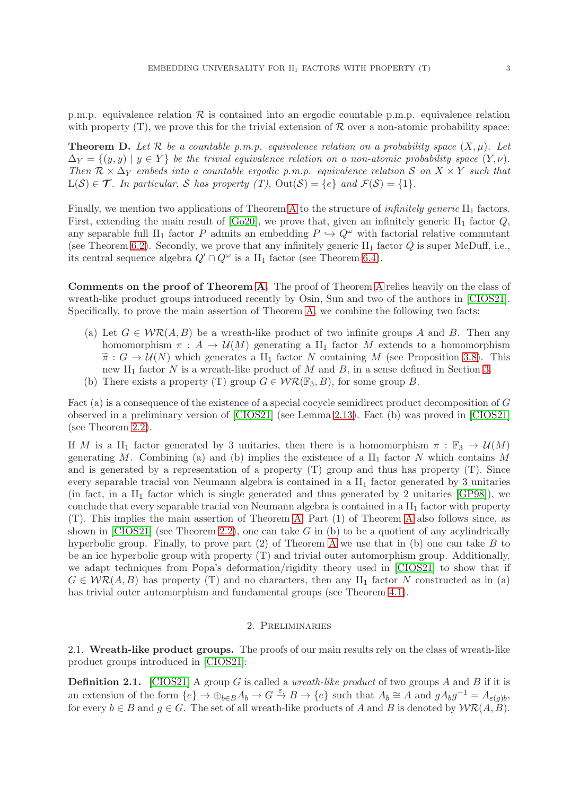p.m.p. equivalence relation  $\mathcal R$  is contained into an ergodic countable p.m.p. equivalence relation with property  $(T)$ , we prove this for the trivial extension of  $\mathcal R$  over a non-atomic probability space:

<span id="page-2-0"></span>**Theorem D.** Let R be a countable p.m.p. equivalence relation on a probability space  $(X, \mu)$ . Let  $\Delta_Y = \{(y, y) \mid y \in Y\}$  be the trivial equivalence relation on a non-atomic probability space  $(Y, \nu)$ . Then  $\mathcal{R} \times \Delta_Y$  embeds into a countable ergodic p.m.p. equivalence relation S on  $X \times Y$  such that  $L(S) \in \mathcal{T}$ . In particular, S has property (T),  $Out(S) = \{e\}$  and  $\mathcal{F}(S) = \{1\}$ .

Finally, we mention two applications of Theorem [A](#page-0-0) to the structure of *infinitely generic*  $II_1$  factors. First, extending the main result of  $[Go20]$ , we prove that, given an infinitely generic  $II_1$  factor  $Q$ , any separable full II<sub>1</sub> factor P admits an embedding  $P \hookrightarrow Q^{\omega}$  with factorial relative commutant (see Theorem [6.2\)](#page-13-0). Secondly, we prove that any infinitely generic  $II_1$  factor Q is super McDuff, i.e., its central sequence algebra  $Q' \cap Q^{\omega}$  is a  $\text{II}_1$  factor (see Theorem [6.4\)](#page-15-16).

Comments on the proof of Theorem [A.](#page-0-0) The proof of Theorem [A](#page-0-0) relies heavily on the class of wreath-like product groups introduced recently by Osin, Sun and two of the authors in [\[CIOS21\]](#page-15-0). Specifically, to prove the main assertion of Theorem [A,](#page-0-0) we combine the following two facts:

- (a) Let  $G \in W\mathcal{R}(A, B)$  be a wreath-like product of two infinite groups A and B. Then any homomorphism  $\pi : A \to \mathcal{U}(M)$  generating a  $\text{II}_1$  factor M extends to a homomorphism  $\tilde{\pi}: G \to \mathcal{U}(N)$  which generates a II<sub>1</sub> factor N containing M (see Proposition [3.8\)](#page-8-0). This new II<sub>1</sub> factor N is a wreath-like product of M and B, in a sense defined in Section [3.](#page-7-0)
- (b) There exists a property (T) group  $G \in \mathcal{WR}(\mathbb{F}_3, B)$ , for some group B.

Fact (a) is a consequence of the existence of a special cocycle semidirect product decomposition of G observed in a preliminary version of [\[CIOS21\]](#page-15-0) (see Lemma [2.13\)](#page-6-0). Fact (b) was proved in [\[CIOS21\]](#page-15-0) (see Theorem [2.2\)](#page-3-0).

If M is a II<sub>1</sub> factor generated by 3 unitaries, then there is a homomorphism  $\pi : \mathbb{F}_3 \to \mathcal{U}(M)$ generating M. Combining (a) and (b) implies the existence of a  $II<sub>1</sub>$  factor N which contains M and is generated by a representation of a property (T) group and thus has property (T). Since every separable tracial von Neumann algebra is contained in a  $II_1$  factor generated by 3 unitaries (in fact, in a  $II_1$  factor which is single generated and thus generated by 2 unitaries [\[GP98\]](#page-15-6)), we conclude that every separable tracial von Neumann algebra is contained in a II<sub>1</sub> factor with property (T). This implies the main assertion of Theorem [A.](#page-0-0) Part (1) of Theorem [A](#page-0-0) also follows since, as shown in  $[CIOS21]$  (see Theorem [2.2\)](#page-3-0), one can take G in (b) to be a quotient of any acylindrically hyperbolic group. Finally, to prove part  $(2)$  of Theorem [A](#page-0-0) we use that in  $(b)$  one can take B to be an icc hyperbolic group with property (T) and trivial outer automorphism group. Additionally, we adapt techniques from Popa's deformation/rigidity theory used in [\[CIOS21\]](#page-15-0) to show that if  $G \in \mathcal{WR}(A, B)$  has property (T) and no characters, then any II<sub>1</sub> factor N constructed as in (a) has trivial outer automorphism and fundamental groups (see Theorem [4.1\)](#page-9-0).

# 2. Preliminaries

2.1. Wreath-like product groups. The proofs of our main results rely on the class of wreath-like product groups introduced in [\[CIOS21\]](#page-15-0):

**Definition 2.1.** [\[CIOS21\]](#page-15-0) A group G is called a *wreath-like product* of two groups A and B if it is an extension of the form  $\{e\} \to \oplus_{b \in B} A_b \to G \stackrel{\varepsilon}{\to} B \to \{e\}$  such that  $A_b \cong A$  and  $gA_b g^{-1} = A_{\varepsilon(g)b}$ , for every  $b \in B$  and  $g \in G$ . The set of all wreath-like products of A and B is denoted by  $W\mathcal{R}(A, B)$ .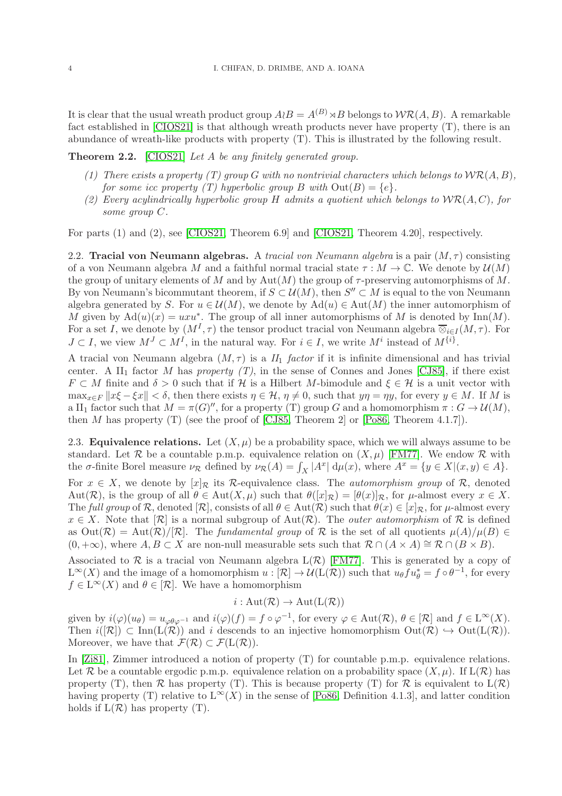It is clear that the usual wreath product group  $A \wr B = A^{(B)} \rtimes B$  belongs to  $\mathcal{WR}(A, B)$ . A remarkable fact established in [\[CIOS21\]](#page-15-0) is that although wreath products never have property (T), there is an abundance of wreath-like products with property (T). This is illustrated by the following result.

<span id="page-3-0"></span>Theorem 2.2. [\[CIOS21\]](#page-15-0) Let A be any finitely generated group.

- (1) There exists a property (T) group G with no nontrivial characters which belongs to  $\mathcal{WR}(A, B)$ , for some icc property (T) hyperbolic group B with  $Out(B) = \{e\}.$
- (2) Every acylindrically hyperbolic group H admits a quotient which belongs to  $WR(A, C)$ , for some group C.

For parts (1) and (2), see [\[CIOS21,](#page-15-0) Theorem 6.9] and [\[CIOS21,](#page-15-0) Theorem 4.20], respectively.

2.2. Tracial von Neumann algebras. A tracial von Neumann algebra is a pair  $(M, \tau)$  consisting of a von Neumann algebra M and a faithful normal tracial state  $\tau : M \to \mathbb{C}$ . We denote by  $\mathcal{U}(M)$ the group of unitary elements of M and by  $Aut(M)$  the group of  $\tau$ -preserving automorphisms of M. By von Neumann's bicommutant theorem, if  $S \subset \mathcal{U}(M)$ , then  $S'' \subset M$  is equal to the von Neumann algebra generated by S. For  $u \in \mathcal{U}(M)$ , we denote by  $\text{Ad}(u) \in \text{Aut}(M)$  the inner automorphism of M given by  $\text{Ad}(u)(x) = uxu^*$ . The group of all inner automorphisms of M is denoted by Inn(M). For a set I, we denote by  $(M^I, \tau)$  the tensor product tracial von Neumann algebra  $\overline{\otimes}_{i\in I}(M, \tau)$ . For  $J \subset I$ , we view  $M^J \subset M^I$ , in the natural way. For  $i \in I$ , we write  $M^i$  instead of  $M^{\{i\}}$ .

A tracial von Neumann algebra  $(M, \tau)$  is a  $II_1$  factor if it is infinite dimensional and has trivial center. A  $\text{II}_1$  factor M has property (T), in the sense of Connes and Jones [\[CJ85\]](#page-15-2), if there exist  $F \subset M$  finite and  $\delta > 0$  such that if H is a Hilbert M-bimodule and  $\xi \in H$  is a unit vector with  $\max_{x \in F} ||x\xi - \xi x|| < \delta$ , then there exists  $\eta \in \mathcal{H}$ ,  $\eta \neq 0$ , such that  $y\eta = \eta y$ , for every  $y \in M$ . If M is a II<sub>1</sub> factor such that  $M = \pi(G)^{\prime\prime}$ , for a property (T) group G and a homomorphism  $\pi : G \to \mathcal{U}(M)$ , then  $M$  has property (T) (see the proof of [\[CJ85,](#page-15-2) Theorem 2] or [\[Po86,](#page-16-5) Theorem 4.1.7]).

<span id="page-3-1"></span>2.3. **Equivalence relations.** Let  $(X, \mu)$  be a probability space, which we will always assume to be standard. Let R be a countable p.m.p. equivalence relation on  $(X, \mu)$  [\[FM77\]](#page-15-17). We endow R with the  $\sigma$ -finite Borel measure  $\nu_{\mathcal{R}}$  defined by  $\nu_{\mathcal{R}}(A) = \int_X |A^x| \, d\mu(x)$ , where  $A^x = \{y \in X | (x, y) \in A\}.$ 

For  $x \in X$ , we denote by  $[x]_{\mathcal{R}}$  its R-equivalence class. The *automorphism group* of R, denoted Aut(R), is the group of all  $\theta \in Aut(X, \mu)$  such that  $\theta([x]_{\mathcal{R}}) = [\theta(x)]_{\mathcal{R}}$ , for  $\mu$ -almost every  $x \in X$ . The full group of R, denoted  $[\mathcal{R}]$ , consists of all  $\theta \in Aut(\mathcal{R})$  such that  $\theta(x) \in [x]_{\mathcal{R}}$ , for  $\mu$ -almost every  $x \in X$ . Note that  $[\mathcal{R}]$  is a normal subgroup of Aut $(\mathcal{R})$ . The *outer automorphism* of  $\mathcal R$  is defined as  $Out(\mathcal{R}) = Aut(\mathcal{R})/[\mathcal{R}]$ . The fundamental group of  $\mathcal R$  is the set of all quotients  $\mu(A)/\mu(B) \in$  $(0, +\infty)$ , where  $A, B \subset X$  are non-null measurable sets such that  $\mathcal{R} \cap (A \times A) \cong \mathcal{R} \cap (B \times B)$ .

Associated to  $\mathcal R$  is a tracial von Neumann algebra  $L(\mathcal R)$  [\[FM77\]](#page-15-17). This is generated by a copy of  $L^{\infty}(X)$  and the image of a homomorphism  $u : [\mathcal{R}] \to \mathcal{U}(\mathcal{L}(\mathcal{R}))$  such that  $u_{\theta} f u_{\theta}^* = f \circ \theta^{-1}$ , for every  $f \in L^{\infty}(X)$  and  $\theta \in [\mathcal{R}]$ . We have a homomorphism

 $i : Aut(\mathcal{R}) \to Aut(L(\mathcal{R}))$ 

given by  $i(\varphi)(u_{\theta}) = u_{\varphi\theta\varphi^{-1}}$  and  $i(\varphi)(f) = f \circ \varphi^{-1}$ , for every  $\varphi \in \text{Aut}(\mathcal{R}), \theta \in [\mathcal{R}]$  and  $f \in \text{L}^{\infty}(X)$ . Then  $i(|\mathcal{R}|) \subset \text{Inn}(L(\mathcal{R}))$  and i descends to an injective homomorphism  $\text{Out}(\mathcal{R}) \hookrightarrow \text{Out}(L(\mathcal{R}))$ . Moreover, we have that  $\mathcal{F}(\mathcal{R}) \subset \mathcal{F}(L(\mathcal{R}))$ .

In [\[Zi81\]](#page-16-11), Zimmer introduced a notion of property (T) for countable p.m.p. equivalence relations. Let R be a countable ergodic p.m.p. equivalence relation on a probability space  $(X, \mu)$ . If  $L(\mathcal{R})$  has property (T), then R has property (T). This is because property (T) for R is equivalent to  $L(\mathcal{R})$ having property (T) relative to  $L^{\infty}(X)$  in the sense of [\[Po86,](#page-16-5) Definition 4.1.3], and latter condition holds if  $L(\mathcal{R})$  has property (T).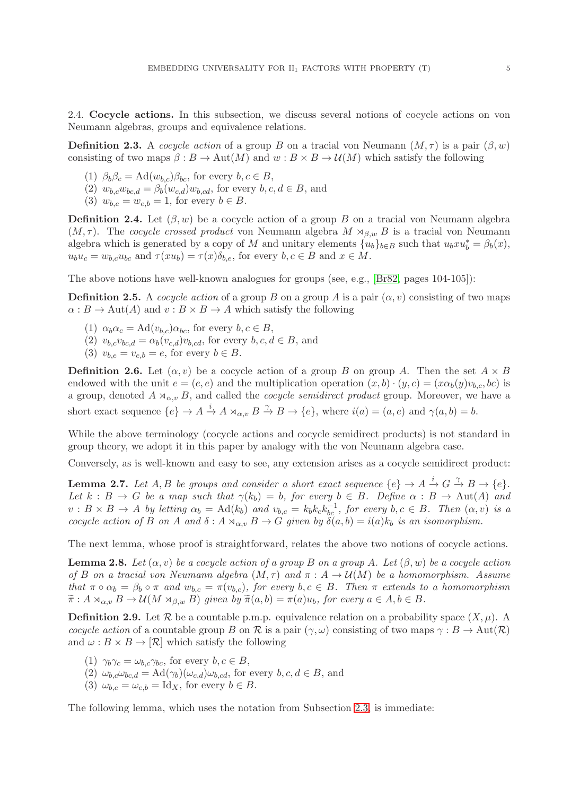2.4. Cocycle actions. In this subsection, we discuss several notions of cocycle actions on von Neumann algebras, groups and equivalence relations.

**Definition 2.3.** A cocycle action of a group B on a tracial von Neumann  $(M, \tau)$  is a pair  $(\beta, w)$ consisting of two maps  $\beta : B \to \text{Aut}(M)$  and  $w : B \times B \to \mathcal{U}(M)$  which satisfy the following

- (1)  $\beta_b \beta_c = \text{Ad}(w_{b,c}) \beta_{bc}$ , for every  $b, c \in B$ ,
- $(2)$   $w_{b,c}w_{bc,d} = \beta_b(w_{c,d})w_{b,cd}$ , for every  $b, c, d \in B$ , and
- (3)  $w_{b,e} = w_{e,b} = 1$ , for every  $b \in B$ .

**Definition 2.4.** Let  $(\beta, w)$  be a cocycle action of a group B on a tracial von Neumann algebra  $(M, \tau)$ . The cocycle crossed product von Neumann algebra  $M \rtimes_{\beta,w} B$  is a tracial von Neumann algebra which is generated by a copy of M and unitary elements  $\{u_b\}_{b\in B}$  such that  $u_bxu_b^* = \beta_b(x)$ ,  $u_b u_c = w_{b,c} u_{bc}$  and  $\tau(xu_b) = \tau(x) \delta_{b,e}$ , for every  $b, c \in B$  and  $x \in M$ .

The above notions have well-known analogues for groups (see, e.g., [\[Br82,](#page-15-18) pages 104-105]):

**Definition 2.5.** A *cocycle action* of a group B on a group A is a pair  $(\alpha, v)$  consisting of two maps  $\alpha : B \to \text{Aut}(A)$  and  $v : B \times B \to A$  which satisfy the following

- (1)  $\alpha_b \alpha_c = \text{Ad}(v_{b,c}) \alpha_{bc}$ , for every  $b, c \in B$ ,
- (2)  $v_{b,c}v_{bc,d} = \alpha_b(v_{c,d})v_{b,cd}$ , for every  $b, c, d \in B$ , and
- (3)  $v_{b,e} = v_{e,b} = e$ , for every  $b \in B$ .

**Definition 2.6.** Let  $(\alpha, v)$  be a cocycle action of a group B on group A. Then the set  $A \times B$ endowed with the unit  $e = (e, e)$  and the multiplication operation  $(x, b) \cdot (y, c) = (x\alpha_b(y)v_{b,c}, bc)$  is a group, denoted  $A \rtimes_{\alpha,v} B$ , and called the *cocycle semidirect product* group. Moreover, we have a short exact sequence  $\{e\} \to A \stackrel{i}{\to} A \rtimes_{\alpha,v} B \stackrel{\gamma}{\to} B \to \{e\}$ , where  $i(a) = (a, e)$  and  $\gamma(a, b) = b$ .

While the above terminology (cocycle actions and cocycle semidirect products) is not standard in group theory, we adopt it in this paper by analogy with the von Neumann algebra case.

Conversely, as is well-known and easy to see, any extension arises as a cocycle semidirect product:

<span id="page-4-0"></span>**Lemma 2.7.** Let  $A, B$  be groups and consider a short exact sequence  $\{e\} \rightarrow A \stackrel{i}{\rightarrow} G \stackrel{\gamma}{\rightarrow} B \rightarrow \{e\}.$ Let  $k : B \to G$  be a map such that  $\gamma(k_b) = b$ , for every  $b \in B$ . Define  $\alpha : B \to \text{Aut}(A)$  and  $v : B \times B \to A$  by letting  $\alpha_b = \text{Ad}(k_b)$  and  $v_{b,c} = k_b k_c k_{bc}^{-1}$ , for every  $b, c \in B$ . Then  $(\alpha, v)$  is a cocycle action of B on A and  $\delta: A \rtimes_{\alpha,v} B \to G$  given by  $\delta(a,b) = i(a)k_b$  is an isomorphism.

The next lemma, whose proof is straightforward, relates the above two notions of cocycle actions.

<span id="page-4-1"></span>**Lemma 2.8.** Let  $(\alpha, v)$  be a cocycle action of a group B on a group A. Let  $(\beta, w)$  be a cocycle action of B on a tracial von Neumann algebra  $(M, \tau)$  and  $\pi : A \rightarrow \mathcal{U}(M)$  be a homomorphism. Assume that  $\pi \circ \alpha_b = \beta_b \circ \pi$  and  $w_{b,c} = \pi(v_{b,c})$ , for every  $b, c \in B$ . Then  $\pi$  extends to a homomorphism  $\widetilde{\pi}: A \rtimes_{\alpha,v} B \to \mathcal{U}(M \rtimes_{\beta,w} B)$  given by  $\widetilde{\pi}(a,b) = \pi(a)u_b$ , for every  $a \in A, b \in B$ .

**Definition 2.9.** Let R be a countable p.m.p. equivalence relation on a probability space  $(X, \mu)$ . A cocycle action of a countable group B on R is a pair  $(\gamma,\omega)$  consisting of two maps  $\gamma : B \to \text{Aut}(\mathcal{R})$ and  $\omega : B \times B \to [\mathcal{R}]$  which satisfy the following

- (1)  $\gamma_b \gamma_c = \omega_{b,c} \gamma_{bc}$ , for every  $b, c \in B$ ,
- (2)  $\omega_{b,c}\omega_{bc,d} = \text{Ad}(\gamma_b)(\omega_{c,d})\omega_{b,cd}$ , for every  $b, c, d \in B$ , and
- (3)  $\omega_{b,e} = \omega_{e,b} = \text{Id}_X$ , for every  $b \in B$ .

The following lemma, which uses the notation from Subsection [2.3,](#page-3-1) is immediate: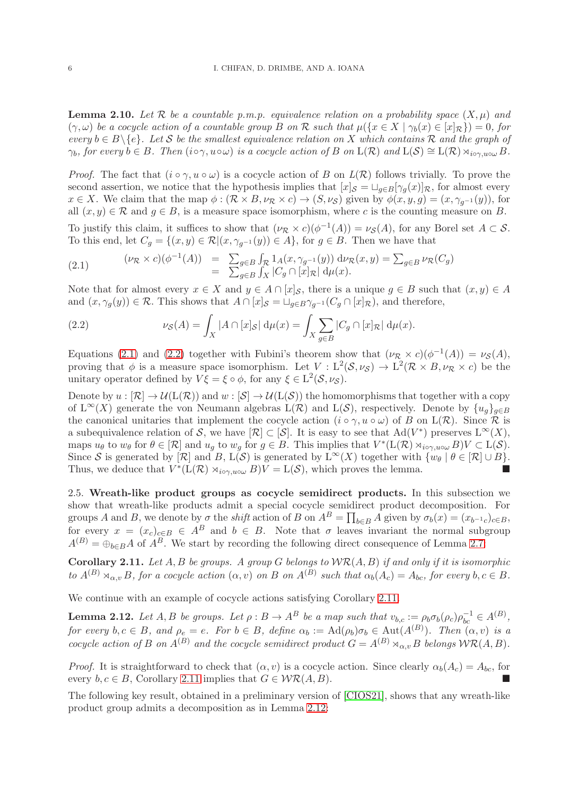<span id="page-5-4"></span>**Lemma 2.10.** Let R be a countable p.m.p. equivalence relation on a probability space  $(X, \mu)$  and  $(\gamma,\omega)$  be a cocycle action of a countable group B on R such that  $\mu({x \in X \mid \gamma_b(x) \in [x]_R}) = 0$ , for every  $b \in B \setminus \{e\}$ . Let S be the smallest equivalence relation on X which contains R and the graph of  $\gamma_b$ , for every  $b \in B$ . Then  $(i \circ \gamma, u \circ \omega)$  is a cocycle action of B on  $L(\mathcal{R})$  and  $L(\mathcal{S}) \cong L(\mathcal{R}) \rtimes_{i \circ \gamma, u \circ \omega} B$ .

*Proof.* The fact that  $(i \circ \gamma, u \circ \omega)$  is a cocycle action of B on  $L(\mathcal{R})$  follows trivially. To prove the second assertion, we notice that the hypothesis implies that  $[x]_{\mathcal{S}} = \bigcup_{g \in B} [\gamma_g(x)]_{\mathcal{R}}$ , for almost every  $x \in X$ . We claim that the map  $\phi : (\mathcal{R} \times B, \nu_{\mathcal{R}} \times c) \to (S, \nu_{\mathcal{S}})$  given by  $\phi(x, y, g) = (x, \gamma_{g^{-1}}(y))$ , for all  $(x, y) \in \mathcal{R}$  and  $q \in B$ , is a measure space isomorphism, where c is the counting measure on B.

To justify this claim, it suffices to show that  $(\nu_R \times c)(\phi^{-1}(A)) = \nu_S(A)$ , for any Borel set  $A \subset S$ . To this end, let  $C_g = \{(x, y) \in \mathcal{R} | (x, \gamma_{g^{-1}}(y)) \in A\}$ , for  $g \in B$ . Then we have that

<span id="page-5-0"></span>(2.1) 
$$
(\nu_{\mathcal{R}} \times c)(\phi^{-1}(A)) = \sum_{g \in B} \int_{\mathcal{R}} 1_A(x, \gamma_{g^{-1}}(y)) d\nu_{\mathcal{R}}(x, y) = \sum_{g \in B} \nu_{\mathcal{R}}(C_g)
$$

$$
= \sum_{g \in B} \int_X |C_g \cap [x]_{\mathcal{R}}| d\mu(x).
$$

Note that for almost every  $x \in X$  and  $y \in A \cap [x]_{\mathcal{S}}$ , there is a unique  $g \in B$  such that  $(x, y) \in A$ and  $(x, \gamma_q(y)) \in \mathcal{R}$ . This shows that  $A \cap [x]_{\mathcal{S}} = \bigcup_{q \in B} \gamma_{q^{-1}}(C_q \cap [x]_{\mathcal{R}})$ , and therefore,

<span id="page-5-1"></span>(2.2) 
$$
\nu_{\mathcal{S}}(A) = \int_X |A \cap [x]_{\mathcal{S}}| d\mu(x) = \int_X \sum_{g \in B} |C_g \cap [x]_{\mathcal{R}}| d\mu(x).
$$

Equations [\(2.1\)](#page-5-0) and [\(2.2\)](#page-5-1) together with Fubini's theorem show that  $(\nu_R \times c)(\phi^{-1}(A)) = \nu_S(A)$ , proving that  $\phi$  is a measure space isomorphism. Let  $V: L^2(\mathcal{S},\nu_{\mathcal{S}}) \to L^2(\mathcal{R} \times B,\nu_{\mathcal{R}} \times c)$  be the unitary operator defined by  $V\xi = \xi \circ \phi$ , for any  $\xi \in L^2(\mathcal{S}, \nu_{\mathcal{S}})$ .

Denote by  $u : [\mathcal{R}] \to \mathcal{U}(\mathcal{L}(\mathcal{R}))$  and  $w : [\mathcal{S}] \to \mathcal{U}(\mathcal{L}(\mathcal{S}))$  the homomorphisms that together with a copy of  $L^{\infty}(X)$  generate the von Neumann algebras  $L(\mathcal{R})$  and  $L(\mathcal{S})$ , respectively. Denote by  $\{u_g\}_{g\in B}$ the canonical unitaries that implement the cocycle action  $(i \circ \gamma, u \circ \omega)$  of B on  $L(\mathcal{R})$ . Since R is a subequivalence relation of S, we have  $[\mathcal{R}] \subset [\mathcal{S}]$ . It is easy to see that  $\text{Ad}(V^*)$  preserves  $L^{\infty}(X)$ , maps  $u_{\theta}$  to  $w_{\theta}$  for  $\theta \in [\mathcal{R}]$  and  $u_g$  to  $w_g$  for  $g \in B$ . This implies that  $V^*(L(\mathcal{R}) \rtimes_{i \circ \gamma, u \circ \omega} B)V \subset L(\mathcal{S})$ . Since S is generated by  $[\mathcal{R}]$  and B,  $L(\mathcal{S})$  is generated by  $L^{\infty}(X)$  together with  $\{w_{\theta} | \theta \in [\mathcal{R}] \cup B\}$ . Thus, we deduce that  $V^*(\mathcal{L}(\mathcal{R}) \rtimes_{i \circ \gamma, u \circ \omega} B)V = \mathcal{L}(\mathcal{S})$ , which proves the lemma.

2.5. Wreath-like product groups as cocycle semidirect products. In this subsection we show that wreath-like products admit a special cocycle semidirect product decomposition. For groups A and B, we denote by  $\sigma$  the *shift* action of B on  $A^B = \prod_{b \in B} A$  given by  $\sigma_b(x) = (x_{b^{-1}c})_{c \in B}$ , for every  $x = (x_c)_{c \in B} \in A^B$  and  $b \in B$ . Note that  $\sigma$  leaves invariant the normal subgroup  $A^{(B)} = \bigoplus_{b \in B} A$  of  $A^B$ . We start by recording the following direct consequence of Lemma [2.7:](#page-4-0)

<span id="page-5-2"></span>**Corollary 2.11.** Let A, B be groups. A group G belongs to  $\mathcal{WR}(A, B)$  if and only if it is isomorphic to  $A^{(B)} \rtimes_{\alpha,v} B$ , for a cocycle action  $(\alpha, v)$  on B on  $A^{(B)}$  such that  $\alpha_b(A_c) = A_{bc}$ , for every  $b, c \in B$ .

We continue with an example of cocycle actions satisfying Corollary [2.11.](#page-5-2)

<span id="page-5-3"></span>**Lemma 2.12.** Let  $A, B$  be groups. Let  $\rho : B \to A^B$  be a map such that  $v_{b,c} := \rho_b \sigma_b(\rho_c) \rho_{bc}^{-1} \in A^{(B)}$ , for every  $b, c \in B$ , and  $\rho_e = e$ . For  $b \in B$ , define  $\alpha_b := \text{Ad}(\rho_b)\sigma_b \in \text{Aut}(A^{(B)})$ . Then  $(\alpha, v)$  is a cocycle action of B on  $A^{(B)}$  and the cocycle semidirect product  $G = A^{(B)} \rtimes_{\alpha,v} B$  belongs  $\mathcal{WR}(A, B)$ .

*Proof.* It is straightforward to check that  $(\alpha, v)$  is a cocycle action. Since clearly  $\alpha_b(A_c) = A_{bc}$ , for every  $b, c \in B$ , Corollary [2.11](#page-5-2) implies that  $G \in \mathcal{WR}(A, B)$ .

The following key result, obtained in a preliminary version of [\[CIOS21\]](#page-15-0), shows that any wreath-like product group admits a decomposition as in Lemma [2.12:](#page-5-3)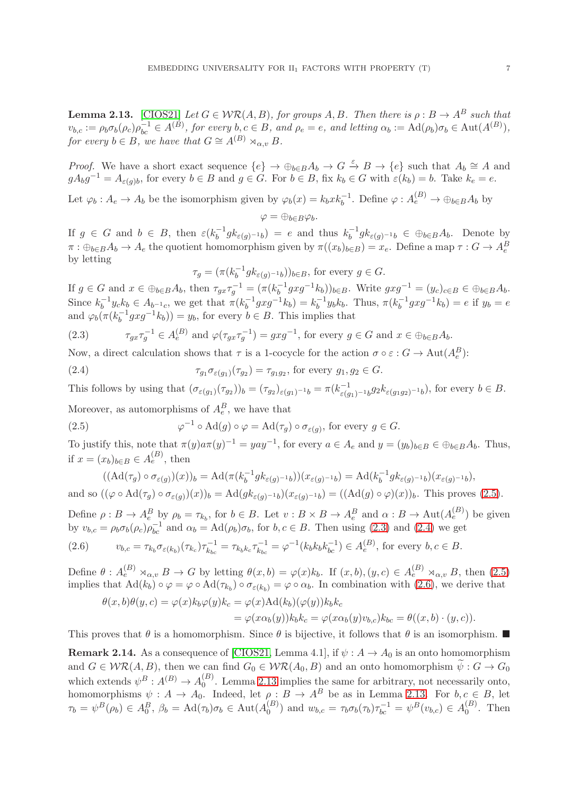<span id="page-6-0"></span>**Lemma 2.13.** [\[CIOS21\]](#page-15-0) Let  $G \in \mathcal{WR}(A, B)$ , for groups A, B. Then there is  $\rho : B \to A^B$  such that  $v_{b,c} := \rho_b \sigma_b(\rho_c) \rho_{bc}^{-1} \in A^{(B)}$ , for every  $b, c \in B$ , and  $\rho_e = e$ , and letting  $\alpha_b := \text{Ad}(\rho_b) \sigma_b \in \text{Aut}(A^{(B)})$ , for every  $b \in B$ , we have that  $G \cong A^{(B)} \rtimes_{\alpha, v} B$ .

*Proof.* We have a short exact sequence  $\{e\} \to \bigoplus_{b \in B} A_b \to G \stackrel{\varepsilon}{\to} B \to \{e\}$  such that  $A_b \cong A$  and  $gA_bg^{-1} = A_{\varepsilon(g)b}$ , for every  $b \in B$  and  $g \in G$ . For  $b \in B$ , fix  $k_b \in G$  with  $\varepsilon(k_b) = b$ . Take  $k_e = e$ .

Let  $\varphi_b: A_e \to A_b$  be the isomorphism given by  $\varphi_b(x) = k_b x k_b^{-1}$ . Define  $\varphi: A_e^{(B)} \to \oplus_{b \in B} A_b$  by

$$
\varphi=\oplus_{b\in B}\varphi_b.
$$

If  $g \in G$  and  $b \in B$ , then  $\varepsilon (k_h^{-1})$  $b^{-1}g k_{\varepsilon(g)^{-1}b}$  = e and thus  $k_b^{-1}$  $b_b^{-1}g k_{\varepsilon(g)^{-1}b} \in \oplus_{b \in B} A_b$ . Denote by  $\pi: \oplus_{b \in B} A_b \to A_e$  the quotient homomorphism given by  $\pi((x_b)_{b \in B}) = x_e$ . Define a map  $\tau: G \to A_e^B$ by letting

<span id="page-6-3"></span>
$$
\tau_g = (\pi (k_b^{-1} g k_{\varepsilon(g)^{-1} b}))_{b \in B}, \text{ for every } g \in G.
$$

If  $g \in G$  and  $x \in \bigoplus_{b \in B} A_b$ , then  $\tau_{gx} \tau_g^{-1} = (\pi (k_b^{-1})^2)$  $(b_0^{-1}gxg^{-1}k_b))_{b\in B}$ . Write  $gxg^{-1} = (y_c)_{c\in B} \in \bigoplus_{b\in B} A_b$ . Since  $k_h^{-1}$  $b^{-1}y_c k_b \in A_{b^{-1}c}$ , we get that  $\pi(k_b^{-1})$  $b^{-1} g x g^{-1} k_b) = k_b^{-1}$  $b^{-1}y_bk_b$ . Thus,  $\pi(k_b^{-1})$  $b^{-1}gxg^{-1}k_b$ ) = e if  $y_b = e$ and  $\varphi_b(\pi(k_b^{-1}g x g^{-1} k_b)) = y_b$ , for every  $b \in B$ . This implies that

<span id="page-6-2"></span>(2.3) 
$$
\tau_{gx}\tau_g^{-1} \in A_e^{(B)} \text{ and } \varphi(\tau_{gx}\tau_g^{-1}) = gxg^{-1}, \text{ for every } g \in G \text{ and } x \in \oplus_{b \in B} A_b.
$$

Now, a direct calculation shows that  $\tau$  is a 1-cocycle for the action  $\sigma \circ \varepsilon : G \to \text{Aut}(A_e^B)$ :

(2.4) 
$$
\tau_{g_1} \sigma_{\varepsilon(g_1)}(\tau_{g_2}) = \tau_{g_1 g_2}, \text{ for every } g_1, g_2 \in G.
$$

This follows by using that  $(\sigma_{\varepsilon(g_1)}(\tau_{g_2}))_b = (\tau_{g_2})_{\varepsilon(g_1)^{-1}b} = \pi(k_{\varepsilon(g_1)^{-1}b}^{-1}g_2k_{\varepsilon(g_1g_2)^{-1}b})$ , for every  $b \in B$ .

Moreover, as automorphisms of  $A_e^B$ , we have that

<span id="page-6-1"></span>(2.5) 
$$
\varphi^{-1} \circ \mathrm{Ad}(g) \circ \varphi = \mathrm{Ad}(\tau_g) \circ \sigma_{\varepsilon(g)}, \text{ for every } g \in G.
$$

To justify this, note that  $\pi(y)a\pi(y)^{-1} = yay^{-1}$ , for every  $a \in A_e$  and  $y = (y_b)_{b \in B} \in \bigoplus_{b \in B} A_b$ . Thus, if  $x = (x_b)_{b \in B} \in A_e^{(B)}$ , then

$$
((\mathrm{Ad}(\tau_g) \circ \sigma_{\varepsilon(g)})(x))_b = \mathrm{Ad}(\pi(k_b^{-1}g k_{\varepsilon(g)^{-1}b})) (x_{\varepsilon(g)^{-1}b}) = \mathrm{Ad}(k_b^{-1}g k_{\varepsilon(g)^{-1}b})(x_{\varepsilon(g)^{-1}b}),
$$
  
and so 
$$
((\varphi \circ \mathrm{Ad}(\tau_g) \circ \sigma_{\varepsilon(g)})(x))_b = \mathrm{Ad}(g k_{\varepsilon(g)^{-1}b})(x_{\varepsilon(g)^{-1}b}) = ((\mathrm{Ad}(g) \circ \varphi)(x))_b.
$$
 This proves (2.5).

Define  $\rho: B \to A_e^B$  by  $\rho_b = \tau_{k_b}$ , for  $b \in B$ . Let  $v: B \times B \to A_e^B$  and  $\alpha: B \to \text{Aut}(A_e^{(B)})$  be given by  $v_{b,c} = \rho_b \sigma_b(\rho_c) \rho_{bc}^{-1}$  and  $\alpha_b = \text{Ad}(\rho_b) \sigma_b$ , for  $b, c \in B$ . Then using [\(2.3\)](#page-6-2) and [\(2.4\)](#page-6-3) we get

<span id="page-6-4"></span>
$$
(2.6) \t v_{b,c} = \tau_{k_b} \sigma_{\varepsilon(k_b)}(\tau_{k_c}) \tau_{k_{bc}}^{-1} = \tau_{k_b k_c} \tau_{k_{bc}}^{-1} = \varphi^{-1}(k_b k_b k_{bc}^{-1}) \in A_e^{(B)}, \text{ for every } b, c \in B.
$$

Define  $\theta: A_e^{(B)} \rtimes_{\alpha,v} B \to G$  by letting  $\theta(x,b) = \varphi(x)k_b$ . If  $(x,b), (y,c) \in A_e^{(B)} \rtimes_{\alpha,v} B$ , then  $(2.5)$ implies that  $\text{Ad}(k_b) \circ \varphi = \varphi \circ \text{Ad}(\tau_{k_b}) \circ \sigma_{\varepsilon(k_b)} = \varphi \circ \alpha_b$ . In combination with  $(2.6)$ , we derive that

$$
\theta(x,b)\theta(y,c) = \varphi(x)k_b\varphi(y)k_c = \varphi(x)\text{Ad}(k_b)(\varphi(y))k_bk_c
$$
  
= 
$$
\varphi(x\alpha_b(y))k_bk_c = \varphi(x\alpha_b(y)v_{b,c})k_{bc} = \theta((x,b)\cdot(y,c)).
$$

This proves that  $\theta$  is a homomorphism. Since  $\theta$  is bijective, it follows that  $\theta$  is an isomorphism.

**Remark 2.14.** As a consequence of [\[CIOS21,](#page-15-0) Lemma 4.1], if  $\psi : A \to A_0$  is an onto homomorphism and  $G \in \mathcal{WR}(A,B)$ , then we can find  $G_0 \in \mathcal{WR}(A_0,B)$  and an onto homomorphism  $\tilde{\psi}: G \to G_0$ which extends  $\psi^B : A^{(B)} \to A_0^{(B)}$  $_{0}^{(D)}$ . Lemma [2.13](#page-6-0) implies the same for arbitrary, not necessarily onto, homomorphisms  $\psi : A \to A_0$ . Indeed, let  $\rho : B \to A^B$  be as in Lemma [2.13.](#page-6-0) For  $b, c \in B$ , let  $\tau_b = \psi^B(\rho_b) \in A_0^B$ ,  $\beta_b = \text{Ad}(\tau_b)\sigma_b \in \text{Aut}(A_0^{(B)})$  $\binom{B}{0}$  and  $w_{b,c} = \tau_b \sigma_b(\tau_b) \tau_{bc}^{-1} = \psi^B(v_{b,c}) \in A_0^{(B)}$  $\binom{D}{0}$ . Then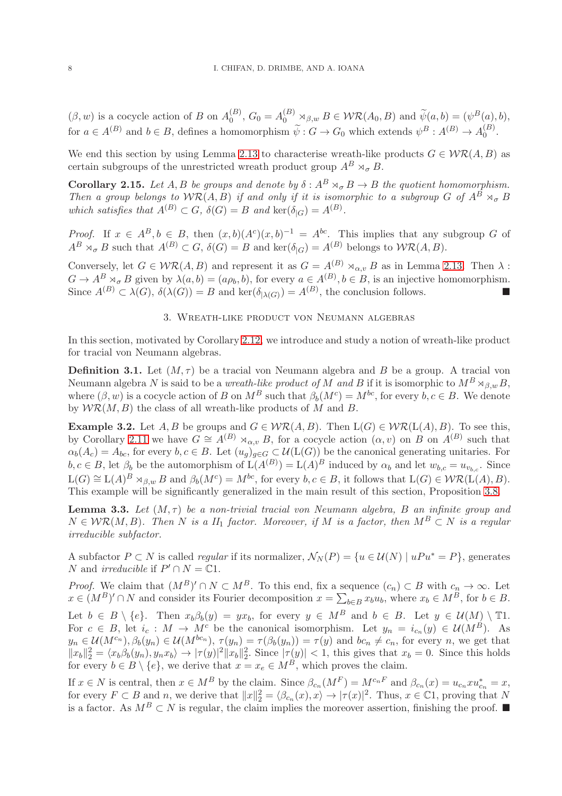$(\beta, w)$  is a cocycle action of B on  $A_0^{(B)}$  $\widetilde{\psi}^{(B)}_0, G_0 = A_0^{(B)} \rtimes_{\beta,w} B \in \mathcal{WR}(A_0, B)$  and  $\widetilde{\psi}(a, b) = (\psi^B(a), b),$ for  $a \in A^{(B)}$  and  $b \in B$ , defines a homomorphism  $\widetilde{\psi}: G \to G_0$  which extends  $\psi^B: A^{(B)} \to A_0^{(B)}$  $\overset{(D)}{0}$ .

We end this section by using Lemma [2.13](#page-6-0) to characterise wreath-like products  $G \in \mathcal{WR}(A, B)$  as certain subgroups of the unrestricted wreath product group  $A^B \rtimes_{\sigma} B$ .

**Corollary 2.15.** Let A, B be groups and denote by  $\delta: A^B \rtimes_{\sigma} B \to B$  the quotient homomorphism. Then a group belongs to  $WR(A, B)$  if and only if it is isomorphic to a subgroup G of  $A^B \rtimes_{\sigma} B$ which satisfies that  $A^{(B)} \subset G$ ,  $\delta(G) = B$  and  $\text{ker}(\delta_{|G}) = A^{(B)}$ .

*Proof.* If  $x \in A^B$ ,  $b \in B$ , then  $(x, b)(A^c)(x, b)^{-1} = A^{bc}$ . This implies that any subgroup G of  $A^B \times_{\sigma} B$  such that  $A^{(B)} \subset G$ ,  $\delta(G) = B$  and  $\ker(\delta_{|G}) = A^{(B)}$  belongs to  $W\mathcal{R}(A, B)$ .

Conversely, let  $G \in \mathcal{WR}(A, B)$  and represent it as  $G = A^{(B)} \rtimes_{\alpha,v} B$  as in Lemma [2.13.](#page-6-0) Then  $\lambda$ :  $G \to A^B \rtimes_{\sigma} B$  given by  $\lambda(a, b) = (a \rho_b, b)$ , for every  $a \in A^{(B)}$ ,  $b \in B$ , is an injective homomorphism. Since  $A^{(B)} \subset \lambda(G)$ ,  $\delta(\lambda(G)) = B$  and ker $(\delta_{|\lambda(G)}) = A^{(B)}$ , the conclusion follows.

# 3. Wreath-like product von Neumann algebras

<span id="page-7-0"></span>In this section, motivated by Corollary [2.12,](#page-5-3) we introduce and study a notion of wreath-like product for tracial von Neumann algebras.

**Definition 3.1.** Let  $(M, \tau)$  be a tracial von Neumann algebra and B be a group. A tracial von Neumann algebra N is said to be a wreath-like product of M and B if it is isomorphic to  $M^B \rtimes_{\beta,w} B$ , where  $(\beta, w)$  is a cocycle action of B on  $M^B$  such that  $\beta_b(M^c) = M^{bc}$ , for every  $b, c \in B$ . We denote by  $\mathcal{WR}(M, B)$  the class of all wreath-like products of M and B.

**Example 3.2.** Let A, B be groups and  $G \in \mathcal{WR}(A, B)$ . Then  $L(G) \in \mathcal{WR}(L(A), B)$ . To see this, by Corollary [2.11](#page-5-2) we have  $G \cong A^{(B)} \rtimes_{\alpha,v} B$ , for a cocycle action  $(\alpha, v)$  on B on  $A^{(B)}$  such that  $\alpha_b(A_c) = A_{bc}$ , for every  $b, c \in B$ . Let  $(u_g)_{g \in G} \subset \mathcal{U}(\mathcal{L}(G))$  be the canonical generating unitaries. For  $b, c \in B$ , let  $\beta_b$  be the automorphism of  $L(A^{(B)}) = L(A)^B$  induced by  $\alpha_b$  and let  $w_{b,c} = u_{v_{b,c}}$ . Since  $\mathcal{L}(G) \cong \mathcal{L}(A)^B \rtimes_{\beta,w} B$  and  $\beta_b(M^c) = M^{bc}$ , for every  $b, c \in B$ , it follows that  $\mathcal{L}(G) \in \mathcal{WR}(\mathcal{L}(A), B)$ . This example will be significantly generalized in the main result of this section, Proposition [3.8.](#page-8-0)

<span id="page-7-1"></span>**Lemma 3.3.** Let  $(M, \tau)$  be a non-trivial tracial von Neumann algebra, B an infinite group and  $N \in \mathcal{WR}(M, B)$ . Then N is a II<sub>1</sub> factor. Moreover, if M is a factor, then  $M^B \subset N$  is a regular irreducible subfactor.

A subfactor  $P \subset N$  is called *regular* if its normalizer,  $\mathcal{N}_N(P) = \{u \in \mathcal{U}(N) \mid uPu^* = P\}$ , generates N and *irreducible* if  $P' \cap N = \mathbb{C}1$ .

*Proof.* We claim that  $(M^B)' \cap N \subset M^B$ . To this end, fix a sequence  $(c_n) \subset B$  with  $c_n \to \infty$ . Let  $x \in (M^B)' \cap N$  and consider its Fourier decomposition  $x = \sum_{b \in B} x_b u_b$ , where  $x_b \in M^B$ , for  $b \in B$ . Let  $b \in B \setminus \{e\}$ . Then  $x_b \beta_b(y) = y x_b$ , for every  $y \in M^B$  and  $b \in B$ . Let  $y \in \mathcal{U}(M) \setminus \mathbb{T}$ 1. For  $c \in B$ , let  $i_c : M \to M^c$  be the canonical isomorphism. Let  $y_n = i_{c_n}(y) \in \mathcal{U}(M^B)$ . As  $y_n \in \mathcal{U}(M^{c_n}), \beta_b(y_n) \in \mathcal{U}(M^{bc_n}), \tau(y_n) = \tau(\beta_b(y_n)) = \tau(y)$  and  $bc_n \neq c_n$ , for every n, we get that  $||x_b||_2^2 = \langle x_b \beta_b(y_n), y_n x_b \rangle \rightarrow |\tau(y)|^2 ||x_b||_2^2$ . Since  $|\tau(y)| < 1$ , this gives that  $x_b = 0$ . Since this holds for every  $b \in B \setminus \{e\}$ , we derive that  $x = x_e \in M^B$ , which proves the claim.

If  $x \in N$  is central, then  $x \in M^B$  by the claim. Since  $\beta_{c_n}(M^F) = M^{c_nF}$  and  $\beta_{c_n}(x) = u_{c_n}xu_{c_n}^* = x$ , for every  $F \subset B$  and n, we derive that  $||x||_2^2 = \langle \beta_{c_n}(x), x \rangle \to |\tau(x)|^2$ . Thus,  $x \in \mathbb{C}^1$ , proving that N is a factor. As  $M^B \subset N$  is regular, the claim implies the moreover assertion, finishing the proof. ■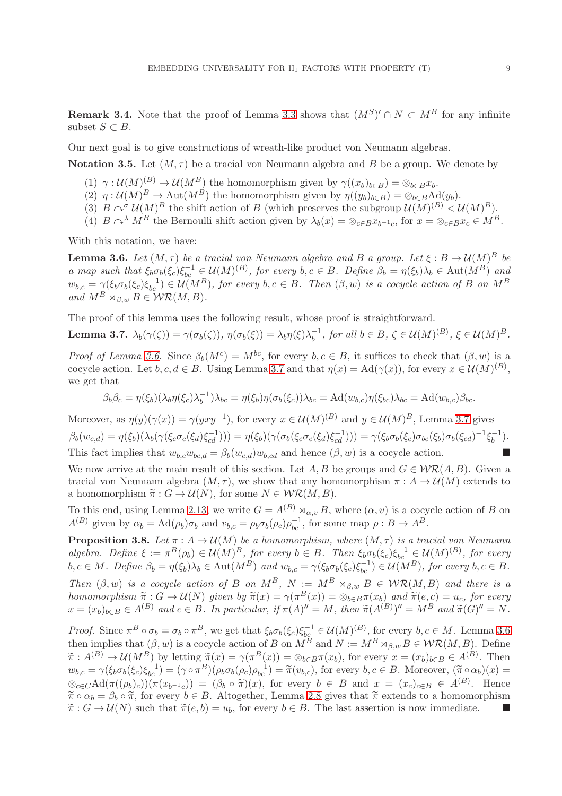<span id="page-8-4"></span>**Remark 3.4.** Note that the proof of Lemma [3.3](#page-7-1) shows that  $(M^S)' \cap N \subset M^B$  for any infinite subset  $S \subset B$ .

Our next goal is to give constructions of wreath-like product von Neumann algebras.

<span id="page-8-3"></span>**Notation 3.5.** Let  $(M, \tau)$  be a tracial von Neumann algebra and B be a group. We denote by

- $(1)$   $\gamma: \mathcal{U}(M)^{(B)} \to \mathcal{U}(M^B)$  the homomorphism given by  $\gamma((x_b)_{b \in B}) = \otimes_{b \in B} x_b$ .
- (2)  $\eta : \mathcal{U}(M)^B \to \text{Aut}(M^B)$  the homomorphism given by  $\eta((y_b)_{b \in B}) = \otimes_{b \in B} \text{Ad}(y_b)$ .
- (3)  $B \sim^{\sigma} U(M)^{B}$  the shift action of B (which preserves the subgroup  $U(M)^{(B)} < U(M)^{B}$ ).
- (4)  $B \curvearrowright^{\lambda} M^B$  the Bernoulli shift action given by  $\lambda_b(x) = \otimes_{c \in B} x_{b^{-1}c}$ , for  $x = \otimes_{c \in B} x_c \in M^B$ .

With this notation, we have:

<span id="page-8-1"></span>**Lemma 3.6.** Let  $(M, \tau)$  be a tracial von Neumann algebra and B a group. Let  $\xi : B \to \mathcal{U}(M)^B$  be a map such that  $\xi_b \sigma_b(\xi_c) \xi_{bc}^{-1} \in \mathcal{U}(M)^{(B)}$ , for every  $b, c \in B$ . Define  $\beta_b = \eta(\xi_b) \lambda_b \in \text{Aut}(M^B)$  and  $w_{b,c} = \gamma(\xi_b \sigma_b(\xi_c) \xi_{bc}^{-1}) \in \mathcal{U}(M^B)$ , for every  $b, c \in B$ . Then  $(\beta, w)$  is a cocycle action of B on  $M^B$ and  $M^B \rtimes_{\beta,w} B \in \mathcal{WR}(M, B)$ .

The proof of this lemma uses the following result, whose proof is straightforward.

<span id="page-8-2"></span>**Lemma 3.7.** 
$$
\lambda_b(\gamma(\zeta)) = \gamma(\sigma_b(\zeta))
$$
,  $\eta(\sigma_b(\xi)) = \lambda_b \eta(\xi) \lambda_b^{-1}$ , for all  $b \in B$ ,  $\zeta \in \mathcal{U}(M)^{(B)}$ ,  $\xi \in \mathcal{U}(M)^B$ .

*Proof of Lemma [3.6.](#page-8-1)* Since  $\beta_b(M^c) = M^{bc}$ , for every  $b, c \in B$ , it suffices to check that  $(\beta, w)$  is a cocycle action. Let  $b, c, d \in B$ . Using Lemma [3.7](#page-8-2) and that  $\eta(x) = \text{Ad}(\gamma(x))$ , for every  $x \in \mathcal{U}(M)^{(B)}$ , we get that

$$
\beta_b \beta_c = \eta(\xi_b)(\lambda_b \eta(\xi_c) \lambda_b^{-1}) \lambda_{bc} = \eta(\xi_b) \eta(\sigma_b(\xi_c)) \lambda_{bc} = \mathrm{Ad}(w_{b,c}) \eta(\xi_{bc}) \lambda_{bc} = \mathrm{Ad}(w_{b,c}) \beta_{bc}.
$$

Moreover, as  $\eta(y)(\gamma(x)) = \gamma(yxy^{-1})$ , for every  $x \in \mathcal{U}(M)^{(B)}$  and  $y \in \mathcal{U}(M)^B$ , Lemma [3.7](#page-8-2) gives  $\beta_b(w_{c,d}) = \eta(\xi_b)(\lambda_b(\gamma(\xi_c\sigma_c(\xi_d)\xi_{cd}^{-1}))) = \eta(\xi_b)(\gamma(\sigma_b(\xi_c\sigma_c(\xi_d)\xi_{cd}^{-1}))) = \gamma(\xi_b\sigma_b(\xi_c)\sigma_{bc}(\xi_b)\sigma_b(\xi_{cd})^{-1}\xi_b^{-1}).$ This fact implies that  $w_{b,c}w_{bc,d} = \beta_b(w_{c,d})w_{b,cd}$  and hence  $(\beta, w)$  is a cocycle action.

We now arrive at the main result of this section. Let A, B be groups and  $G \in \mathcal{WR}(A, B)$ . Given a tracial von Neumann algebra  $(M, \tau)$ , we show that any homomorphism  $\pi : A \to \mathcal{U}(M)$  extends to a homomorphism  $\widetilde{\pi}: G \to \mathcal{U}(N)$ , for some  $N \in \mathcal{WR}(M, B)$ .

To this end, using Lemma [2.13,](#page-6-0) we write  $G = A^{(B)} \rtimes_{\alpha,v} B$ , where  $(\alpha, v)$  is a cocycle action of B on  $A^{(B)}$  given by  $\alpha_b = \text{Ad}(\rho_b)\sigma_b$  and  $v_{b,c} = \rho_b \sigma_b(\rho_c) \rho_{bc}^{-1}$ , for some map  $\rho : B \to A^B$ .

<span id="page-8-0"></span>**Proposition 3.8.** Let  $\pi : A \to \mathcal{U}(M)$  be a homomorphism, where  $(M, \tau)$  is a tracial von Neumann algebra. Define  $\xi := \pi^B(\rho_b) \in \mathcal{U}(M)^B$ , for every  $b \in B$ . Then  $\xi_b \sigma_b(\xi_c) \xi_{bc}^{-1} \in \mathcal{U}(M)^{(B)}$ , for every  $b, c \in M$ . Define  $\beta_b = \eta(\xi_b)\lambda_b \in \text{Aut}(M^B)$  and  $w_{b,c} = \gamma(\xi_b\sigma_b(\xi_c)\xi_{bc}^{-1}) \in \mathcal{U}(M^B)$ , for every  $b, c \in B$ . Then  $(\beta, w)$  is a cocycle action of B on  $M^B$ ,  $N := M^B \rtimes_{\beta,w} B \in \mathcal{WR}(M, B)$  and there is a homomorphism  $\widetilde{\pi}: G \to \mathcal{U}(N)$  given by  $\widetilde{\pi}(x) = \gamma(\pi^B(x)) = \otimes_{b \in B} \pi(x_b)$  and  $\widetilde{\pi}(e, c) = u_c$ , for every  $x = (x_b)_{b \in B} \in A^{(B)}$  and  $c \in B$ . In particular, if  $\pi(A)'' = M$ , then  $\widetilde{\pi}(A^{(B)})'' = M^B$  and  $\widetilde{\pi}(G)'' = N$ .

Proof. Since  $\pi^B \circ \sigma_b = \sigma_b \circ \pi^B$ , we get that  $\xi_b \sigma_b(\xi_c) \xi_{b c}^{-1} \in \mathcal{U}(M)^{(B)}$ , for every  $b, c \in M$ . Lemma [3.6](#page-8-1) then implies that  $(\beta, w)$  is a cocycle action of B on  $M^B$  and  $N := M^B \rtimes_{\beta, w} B \in \mathcal{WR}(M, B)$ . Define  $\widetilde{\pi}: A^{(B)} \to \mathcal{U}(M^B)$  by letting  $\widetilde{\pi}(x) = \gamma(\pi^B(x)) = \otimes_{b \in B} \pi(x_b)$ , for every  $x = (x_b)_{b \in B} \in A^{(B)}$ . Then  $w_{b,c} = \gamma(\xi_b \sigma_b(\xi_c) \xi_{bc}^{-1}) = (\gamma \circ \pi^B)(\rho_b \sigma_b(\rho_c) \rho_{bc}^{-1}) = \tilde{\pi}(v_{b,c}),$  for every  $b, c \in B$ . Moreover,  $(\tilde{\pi} \circ \alpha_b)(x) =$  $\otimes_{c\in C} \text{Ad}(\pi((\rho_b)_c))(\pi(x_{b-1_c})) = (\beta_b \circ \widetilde{\pi})(x)$ , for every  $b \in B$  and  $x = (x_c)_{c\in B} \in A^{(B)}$ . Hence  $\tilde{\pi} \circ \alpha_b = \beta_b \circ \tilde{\pi}$ , for every  $b \in B$ . Altogether, Lemma [2.8](#page-4-1) gives that  $\tilde{\pi}$  extends to a homomorphism  $\tilde{\pi}: G \to \mathcal{U}(N)$  such that  $\tilde{\pi}(e, b) = u_b$ , for every  $b \in B$ . The last assertion is now immediate.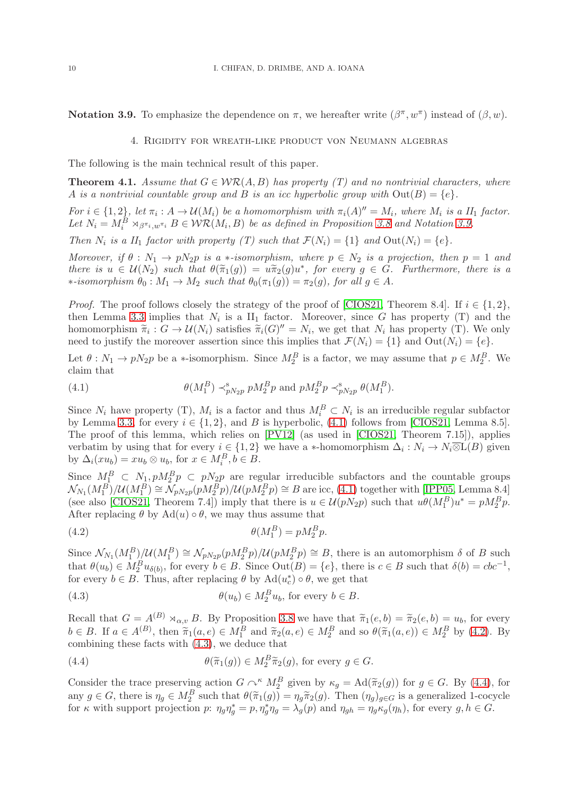<span id="page-9-1"></span>**Notation 3.9.** To emphasize the dependence on  $\pi$ , we hereafter write  $(\beta^{\pi}, w^{\pi})$  instead of  $(\beta, w)$ .

#### 4. Rigidity for wreath-like product von Neumann algebras

The following is the main technical result of this paper.

<span id="page-9-0"></span>**Theorem 4.1.** Assume that  $G \in \mathcal{WR}(A, B)$  has property (T) and no nontrivial characters, where A is a nontrivial countable group and B is an icc hyperbolic group with  $Out(B) = \{e\}.$ 

For  $i \in \{1,2\}$ , let  $\pi_i : A \to \mathcal{U}(M_i)$  be a homomorphism with  $\pi_i(A)'' = M_i$ , where  $M_i$  is a  $II_1$  factor. Let  $N_i = M_i^B \rtimes_{\beta^{m_i}, w^{m_i}} B \in \mathcal{WR}(M_i, B)$  be as defined in Proposition [3.8](#page-8-0) and Notation [3.9.](#page-9-1)

Then  $N_i$  is a  $II_1$  factor with property (T) such that  $\mathcal{F}(N_i) = \{1\}$  and  $Out(N_i) = \{e\}.$ 

Moreover, if  $\theta : N_1 \to pN_2p$  is a \*-isomorphism, where  $p \in N_2$  is a projection, then  $p = 1$  and there is  $u \in \mathcal{U}(N_2)$  such that  $\theta(\tilde{\pi}_1(g)) = u\tilde{\pi}_2(g)u^*$ , for every  $g \in G$ . Furthermore, there is a  $\ast$ -isomorphism  $\theta_0$  :  $M_1$  →  $M_2$  such that  $\theta_0(\pi_1(g)) = \pi_2(g)$ , for all  $g \in A$ .

*Proof.* The proof follows closely the strategy of the proof of [\[CIOS21,](#page-15-0) Theorem 8.4]. If  $i \in \{1,2\}$ , then Lemma [3.3](#page-7-1) implies that  $N_i$  is a  $II_1$  factor. Moreover, since G has property (T) and the homomorphism  $\widetilde{\pi}_i : G \to \mathcal{U}(N_i)$  satisfies  $\widetilde{\pi}_i(G)'' = N_i$ , we get that  $N_i$  has property (T). We only need to justify the moreover assertion since this implies that  $\mathcal{F}(N_i) = \{1\}$  and  $Out(N_i) = \{e\}.$ 

Let  $\theta: N_1 \to pN_2p$  be a \*-isomorphism. Since  $M_2^B$  is a factor, we may assume that  $p \in M_2^B$ . We claim that

<span id="page-9-2"></span>(4.1) 
$$
\theta(M_1^B) \prec_{pN_{2}p}^s p M_2^B p \text{ and } p M_2^B p \prec_{pN_{2}p}^s \theta(M_1^B).
$$

Since  $N_i$  have property (T),  $M_i$  is a factor and thus  $M_i^B \subset N_i$  is an irreducible regular subfactor by Lemma [3.3,](#page-7-1) for every  $i \in \{1,2\}$ , and B is hyperbolic, [\(4.1\)](#page-9-2) follows from [\[CIOS21,](#page-15-0) Lemma 8.5]. The proof of this lemma, which relies on [\[PV12\]](#page-16-12) (as used in [\[CIOS21,](#page-15-0) Theorem 7.15]), applies verbatim by using that for every  $i \in \{1,2\}$  we have a \*-homomorphism  $\Delta_i: N_i \to N_i \overline{\otimes} L(B)$  given by  $\Delta_i(xu_b) = xu_b \otimes u_b$ , for  $x \in M_i^B$ ,  $b \in B$ .

Since  $M_1^B \subset N_1, pM_2^B p \subset pN_2p$  are regular irreducible subfactors and the countable groups  $\mathcal{N}_{N_1}(M_1^B)/\mathcal{U}(M_1^B) \cong \mathcal{N}_{pN_2p}(pM_2^Bp)/\mathcal{U}(pM_2^Bp) \cong B$  are icc, [\(4.1\)](#page-9-2) together with [\[IPP05,](#page-15-13) Lemma 8.4] (see also [\[CIOS21,](#page-15-0) Theorem 7.4]) imply that there is  $u \in \mathcal{U}(pN_2p)$  such that  $u\theta(M_1^B)u^* = pM_2^B p$ . After replacing  $\theta$  by Ad(u)  $\circ \theta$ , we may thus assume that

<span id="page-9-3"></span>
$$
\theta(M_1^B) = pM_2^B p.
$$

Since  $\mathcal{N}_{N_1}(M_1^B)/\mathcal{U}(M_1^B) \cong \mathcal{N}_{pN_2p}(pM_2^Bp)/\mathcal{U}(pM_2^Bp) \cong B$ , there is an automorphism  $\delta$  of B such that  $\theta(u_b) \in M_2^B u_{\delta(b)}$ , for every  $b \in B$ . Since  $Out(B) = \{e\}$ , there is  $c \in B$  such that  $\delta(b) = cbc^{-1}$ , for every  $b \in B$ . Thus, after replacing  $\theta$  by  $\text{Ad}(u_c^*) \circ \theta$ , we get that

<span id="page-9-4"></span>(4.3) 
$$
\theta(u_b) \in M_2^B u_b, \text{ for every } b \in B.
$$

Recall that  $G = A^{(B)} \rtimes_{\alpha,v} B$ . By Proposition [3.8](#page-8-0) we have that  $\tilde{\pi}_1(e, b) = \tilde{\pi}_2(e, b) = u_b$ , for every  $b \in B$ . If  $a \in A^{(B)}$ , then  $\widetilde{\pi}_1(a, e) \in M_1^B$  and  $\widetilde{\pi}_2(a, e) \in M_2^B$  and so  $\theta(\widetilde{\pi}_1(a, e)) \in M_2^B$  by [\(4.2\)](#page-9-3). By combining these facts with [\(4.3\)](#page-9-4), we deduce that

<span id="page-9-5"></span>(4.4) 
$$
\theta(\widetilde{\pi}_1(g)) \in M_2^B \widetilde{\pi}_2(g), \text{ for every } g \in G.
$$

Consider the trace preserving action  $G \curvearrowright^{\kappa} M_2^B$  given by  $\kappa_g = \text{Ad}(\tilde{\pi}_2(g))$  for  $g \in G$ . By [\(4.4\)](#page-9-5), for any  $g \in G$ , there is  $\eta_g \in M_2^B$  such that  $\theta(\tilde{\pi}_1(g)) = \eta_g \tilde{\pi}_2(g)$ . Then  $(\eta_g)_{g \in G}$  is a generalized 1-cocycle for  $\kappa$  with support projection  $p: \eta_g \eta_g^* = p, \eta_g^* \eta_g = \lambda_g(p)$  and  $\eta_{gh} = \eta_g \kappa_g(\eta_h)$ , for every  $g, h \in G$ .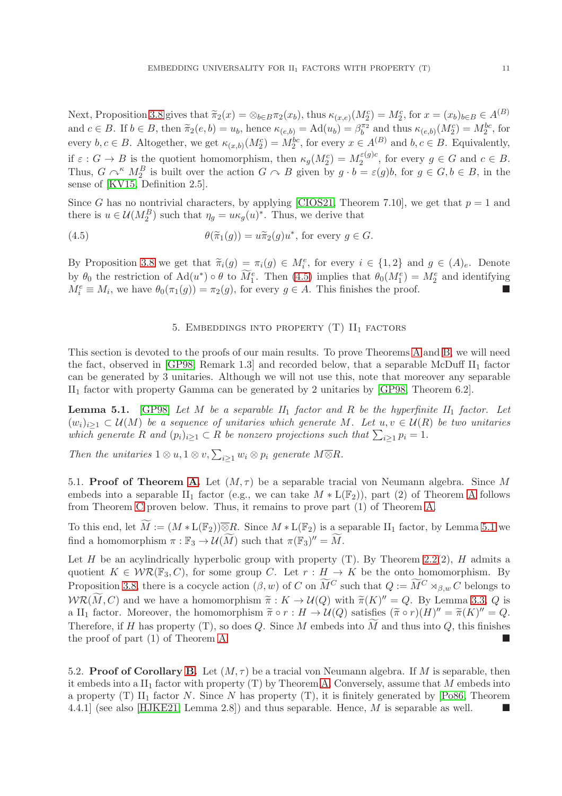Next, Proposition [3.8](#page-8-0) gives that  $\tilde{\pi}_2(x) = \otimes_{b \in B} \pi_2(x_b)$ , thus  $\kappa_{(x,e)}(M_2^c) = M_2^c$ , for  $x = (x_b)_{b \in B} \in A^{(B)}$ and  $c \in B$ . If  $b \in B$ , then  $\tilde{\pi}_2(e, b) = u_b$ , hence  $\kappa_{(e, b)} = \text{Ad}(u_b) = \beta_b^{\pi_2}$  and thus  $\kappa_{(e, b)}(M_2^c) = M_2^{bc}$ , for every  $b, c \in B$ . Altogether, we get  $\kappa_{(x,b)}(M_2^c) = M_2^{bc}$ , for every  $x \in A^{(B)}$  and  $b, c \in B$ . Equivalently, if  $\varepsilon: G \to B$  is the quotient homomorphism, then  $\kappa_g(M_2^c) = M_2^{\varepsilon(g)c}$  $a_2^{\varepsilon(g)c}$ , for every  $g \in G$  and  $c \in B$ . Thus,  $G \curvearrowright^k M_2^B$  is built over the action  $G \curvearrowright B$  given by  $g \cdot b = \varepsilon(g)b$ , for  $g \in G, b \in B$ , in the sense of [\[KV15,](#page-16-13) Definition 2.5].

Since G has no nontrivial characters, by applying [\[CIOS21,](#page-15-0) Theorem 7.10], we get that  $p = 1$  and there is  $u \in \mathcal{U}(M_2^B)$  such that  $\eta_g = u \kappa_g(u)^*$ . Thus, we derive that

(4.5) 
$$
\theta(\widetilde{\pi}_1(g)) = u\widetilde{\pi}_2(g)u^*, \text{ for every } g \in G.
$$

By Proposition [3.8](#page-8-0) we get that  $\tilde{\pi}_i(g) = \pi_i(g) \in M_i^e$ , for every  $i \in \{1,2\}$  and  $g \in (A)_e$ . Denote by  $\theta_0$  the restriction of  $\text{Ad}(u^*) \circ \theta$  to  $M_1^e$ . Then [\(4.5\)](#page-10-0) implies that  $\theta_0(M_1^e) = M_2^e$  and identifying  $M_i^e \equiv M_i$ , we have  $\theta_0(\pi_1(g)) = \pi_2(g)$ , for every  $g \in A$ . This finishes the proof.

# <span id="page-10-0"></span>5. EMBEDDINGS INTO PROPERTY  $(T)$   $II_1$  factors

This section is devoted to the proofs of our main results. To prove Theorems [A](#page-0-0) and [B,](#page-0-1) we will need the fact, observed in [\[GP98,](#page-15-6) Remark 1.3] and recorded below, that a separable McDuff  $II_1$  factor can be generated by 3 unitaries. Although we will not use this, note that moreover any separable  $II<sub>1</sub>$  factor with property Gamma can be generated by 2 unitaries by [\[GP98,](#page-15-6) Theorem 6.2].

<span id="page-10-1"></span>**Lemma 5.1.** [\[GP98\]](#page-15-6) Let M be a separable  $II_1$  factor and R be the hyperfinite  $II_1$  factor. Let  $(w_i)_{i\geq 1} \subset \mathcal{U}(M)$  be a sequence of unitaries which generate M. Let  $u, v \in \mathcal{U}(R)$  be two unitaries which generate R and  $(p_i)_{i\geq 1} \subset R$  be nonzero projections such that  $\sum_{i\geq 1} p_i = 1$ .

Then the unitaries  $1 \otimes u, 1 \otimes v, \sum_{i \geq 1} w_i \otimes p_i$  generate  $M \overline{\otimes} R$ .

5.1. Proof of Theorem [A.](#page-0-0) Let  $(M, \tau)$  be a separable tracial von Neumann algebra. Since M embeds into a separable II<sub>1</sub> factor (e.g., we can take  $M * L(\mathbb{F}_2)$ ), part (2) of Theorem [A](#page-0-0) follows from Theorem [C](#page-1-0) proven below. Thus, it remains to prove part (1) of Theorem [A.](#page-0-0)

To this end, let  $\widetilde{M} := (M * L(\mathbb{F}_2))\overline{\otimes}R$ . Since  $M * L(\mathbb{F}_2)$  is a separable  $II_1$  factor, by Lemma [5.1](#page-10-1) we find a homomorphism  $\pi : \mathbb{F}_3 \to \mathcal{U}(\widetilde{M})$  such that  $\pi(\mathbb{F}_3)' = \widetilde{M}$ .

Let H be an acylindrically hyperbolic group with property  $(T)$ . By Theorem [2.2\(](#page-3-0)2), H admits a quotient  $K \in \mathcal{WR}(\mathbb{F}_3, C)$ , for some group C. Let  $r : H \to K$  be the onto homomorphism. By Proposition [3.8,](#page-8-0) there is a cocycle action  $(\beta, w)$  of C on  $\widetilde{M}^C$  such that  $Q := \widetilde{M}^C \rtimes_{\beta,w} C$  belongs to  $WR(\overline{M}, C)$  and we have a homomorphism  $\widetilde{\pi}: K \to \mathcal{U}(Q)$  with  $\widetilde{\pi}(K)^{\prime\prime} = Q$ . By Lemma [3.3,](#page-7-1) Q is a II<sub>1</sub> factor. Moreover, the homomorphism  $\widetilde{\pi} \circ r : H \to \mathcal{U}(Q)$  satisfies  $(\widetilde{\pi} \circ r)(H)'' = \widetilde{\pi}(K)'' = Q$ . Therefore, if H has property (T), so does Q. Since M embeds into  $\widetilde{M}$  and thus into Q, this finishes the proof of part (1) of Theorem [A.](#page-0-0)

5.2. **Proof of Corollary [B.](#page-0-1)** Let  $(M, \tau)$  be a tracial von Neumann algebra. If M is separable, then it embeds into a  $II_1$  factor with property (T) by Theorem [A.](#page-0-0) Conversely, assume that M embeds into a property (T) II<sub>1</sub> factor N. Since N has property (T), it is finitely generated by [\[Po86,](#page-16-5) Theorem 4.4.1] (see also [\[HJKE21,](#page-15-19) Lemma 2.8]) and thus separable. Hence, M is separable as well.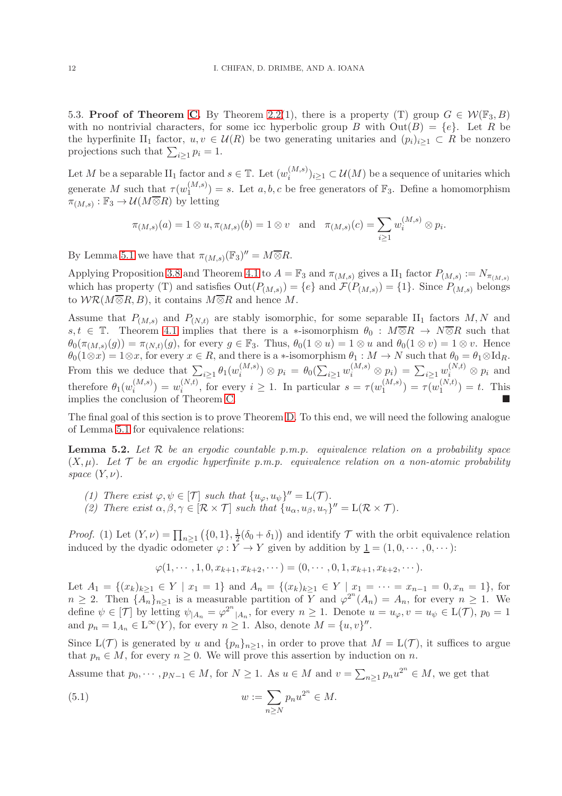5.3. **Proof of Theorem [C.](#page-1-0)** By Theorem [2.2\(](#page-3-0)1), there is a property (T) group  $G \in \mathcal{W}(\mathbb{F}_3, B)$ with no nontrivial characters, for some icc hyperbolic group B with  $Out(B) = \{e\}$ . Let R be the hyperfinite II<sub>1</sub> factor,  $u, v \in \mathcal{U}(R)$  be two generating unitaries and  $(p_i)_{i\geq 1} \subset R$  be nonzero projections such that  $\sum_{i\geq 1} p_i = 1$ .

Let M be a separable  $\text{II}_1$  factor and  $s \in \mathbb{T}$ . Let  $(w_i^{(M,s)})$  $(i^{(M, s)}_{i})_{i \geq 1} \subset \mathcal{U}(M)$  be a sequence of unitaries which generate M such that  $\tau(w_1^{(M,s)})$  $\binom{(M,s)}{1}$  = s. Let a, b, c be free generators of  $\mathbb{F}_3$ . Define a homomorphism  $\pi_{(M,s)} : \mathbb{F}_3 \to \mathcal{U}(M \overline{\otimes} R)$  by letting

$$
\pi_{(M,s)}(a) = 1 \otimes u, \pi_{(M,s)}(b) = 1 \otimes v
$$
 and  $\pi_{(M,s)}(c) = \sum_{i \ge 1} w_i^{(M,s)} \otimes p_i$ .

By Lemma [5.1](#page-10-1) we have that  $\pi_{(M,s)}(\mathbb{F}_3)^{\prime\prime} = M \overline{\otimes} R$ .

Applying Proposition [3.8](#page-8-0) and Theorem [4.1](#page-9-0) to  $A = \mathbb{F}_3$  and  $\pi_{(M,s)}$  gives a  $\text{II}_1$  factor  $P_{(M,s)} := N_{\pi_{(M,s)}}$ which has property (T) and satisfies  $Out(P_{(M,s)}) = \{e\}$  and  $\mathcal{F}(P_{(M,s)}) = \{1\}$ . Since  $P_{(M,s)}$  belongs to  $W\mathcal{R}(M\overline{\otimes}R, B)$ , it contains  $M\overline{\otimes}R$  and hence M.

Assume that  $P_{(M,s)}$  and  $P_{(N,t)}$  are stably isomorphic, for some separable II<sub>1</sub> factors M, N and s,  $t \in \mathbb{T}$ . Theorem [4.1](#page-9-0) implies that there is a ∗-isomorphism  $\theta_0 : M \overline{\otimes} R \to N \overline{\otimes} R$  such that  $\theta_0(\pi_{(M,s)}(g)) = \pi_{(N,t)}(g)$ , for every  $g \in \mathbb{F}_3$ . Thus,  $\theta_0(1 \otimes u) = 1 \otimes u$  and  $\theta_0(1 \otimes v) = 1 \otimes v$ . Hence  $\theta_0(1\otimes x)=1\otimes x$ , for every  $x\in R$ , and there is a  $*$ -isomorphism  $\theta_1: M\to N$  such that  $\theta_0=\theta_1\otimes \mathrm{Id}_R$ . From this we deduce that  $\sum_{i\geq 1} \theta_1(w_i^{(M,s)})$  $\hat{p}_i^{(M,s)}) \otimes p_i = \theta_0(\sum_{i \geq 1} w_i^{(M,s)} \otimes p_i) = \sum_{i \geq 1} w_i^{(N,t)} \otimes p_i$  and therefore  $\theta_1(w_i^{(M,s)})$  $\binom{(M,s)}{i} = w_i^{(N,t)}$  $i_i^{(N,t)}$ , for every  $i \geq 1$ . In particular  $s = \tau(w_1^{(M,s)})$  $\binom{(M,s)}{1} = \tau(w_1^{(N,t)}$  $1^{(N,t)}$  = t. This implies the conclusion of Theorem [C.](#page-1-0)

The final goal of this section is to prove Theorem [D.](#page-2-0) To this end, we will need the following analogue of Lemma [5.1](#page-10-1) for equivalence relations:

<span id="page-11-1"></span>**Lemma 5.2.** Let  $\mathcal{R}$  be an ergodic countable  $p.m.p.$  equivalence relation on a probability space  $(X, \mu)$ . Let T be an ergodic hyperfinite p.m.p. equivalence relation on a non-atomic probability space  $(Y, \nu)$ .

- (1) There exist  $\varphi, \psi \in [\mathcal{T}]$  such that  $\{u_{\varphi}, u_{\psi}\}' = L(\mathcal{T})$ .
- (2) There exist  $\alpha, \beta, \gamma \in [\mathcal{R} \times \mathcal{T}]$  such that  $\{u_{\alpha}, u_{\beta}, u_{\gamma}\}' = L(\mathcal{R} \times \mathcal{T})$ .

*Proof.* (1) Let  $(Y, \nu) = \prod_{n \geq 1} (\{0, 1\}, \frac{1}{2})$  $\frac{1}{2}(\delta_0 + \delta_1)$  and identify  $\mathcal T$  with the orbit equivalence relation induced by the dyadic odometer  $\varphi: Y \to Y$  given by addition by  $\underline{1} = (1, 0, \dots, 0, \dots)$ :

<span id="page-11-0"></span>
$$
\varphi(1,\dots,1,0,x_{k+1},x_{k+2},\dots)=(0,\dots,0,1,x_{k+1},x_{k+2},\dots).
$$

Let  $A_1 = \{(x_k)_{k \geq 1} \in Y \mid x_1 = 1\}$  and  $A_n = \{(x_k)_{k \geq 1} \in Y \mid x_1 = \cdots = x_{n-1} = 0, x_n = 1\}$ , for  $n \geq 2$ . Then  $\{A_n\}_{n \geq 1}$  is a measurable partition of  $\overline{Y}$  and  $\varphi^{2^n}(A_n) = A_n$ , for every  $n \geq 1$ . We define  $\psi \in [\mathcal{T}]$  by letting  $\psi_{|A_n} = \varphi^{2^n}|A_n}$ , for every  $n \geq 1$ . Denote  $u = u_{\varphi}, v = u_{\psi} \in L(\mathcal{T})$ ,  $p_0 = 1$ and  $p_n = 1_{A_n} \in L^{\infty}(Y)$ , for every  $n \ge 1$ . Also, denote  $M = \{u, v\}''$ .

Since  $L(\mathcal{T})$  is generated by u and  $\{p_n\}_{n\geq 1}$ , in order to prove that  $M = L(\mathcal{T})$ , it suffices to argue that  $p_n \in M$ , for every  $n \geq 0$ . We will prove this assertion by induction on n.

Assume that  $p_0, \dots, p_{N-1} \in M$ , for  $N \ge 1$ . As  $u \in M$  and  $v = \sum_{n \ge 1} p_n u^{2^n} \in M$ , we get that

(5.1) 
$$
w := \sum_{n \geq N} p_n u^{2^n} \in M.
$$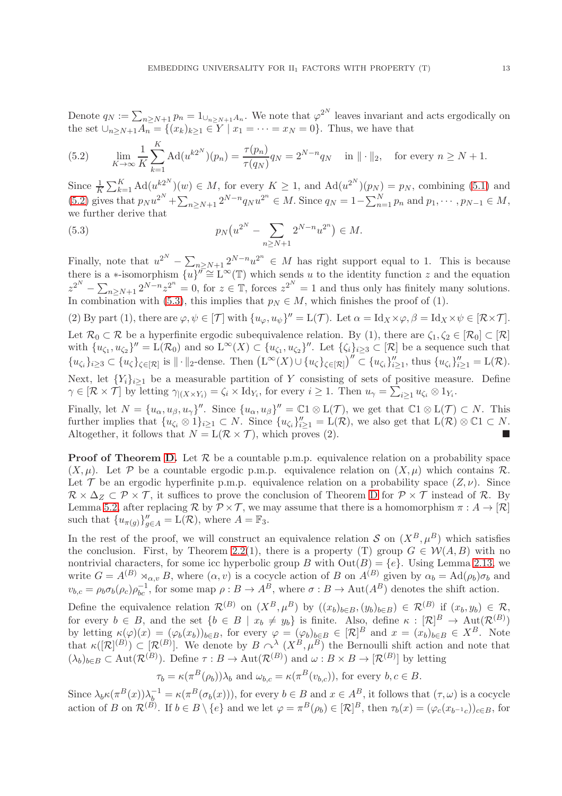Denote  $q_N := \sum_{n \ge N+1} p_n = 1_{\bigcup_{n \ge N+1} A_n}$ . We note that  $\varphi^{2^N}$  leaves invariant and acts ergodically on the set  $\bigcup_{n \ge N+1} A_n = \{(x_k)_{k \ge 1} \in Y \mid x_1 = \cdots = x_N = 0\}$ . Thus, we have that

<span id="page-12-0"></span>(5.2) 
$$
\lim_{K \to \infty} \frac{1}{K} \sum_{k=1}^{K} \text{Ad}(u^{k2N})(p_n) = \frac{\tau(p_n)}{\tau(q_N)} q_N = 2^{N-n} q_N \quad \text{in } || \cdot ||_2, \quad \text{for every } n \ge N+1.
$$

Since  $\frac{1}{K}\sum_{k=1}^K \text{Ad}(u^{k2^N})(w) \in M$ , for every  $K \geq 1$ , and  $\text{Ad}(u^{2^N})(p_N) = p_N$ , combining [\(5.1\)](#page-11-0) and [\(5.2\)](#page-12-0) gives that  $p_N u^{2^N} + \sum_{n \ge N+1} 2^{N-n} q_N u^{2^n} \in M$ . Since  $q_N = 1 - \sum_{n=1}^N p_n$  and  $p_1, \dots, p_{N-1} \in M$ , we further derive that

<span id="page-12-1"></span>(5.3) 
$$
p_N(u^{2^N} - \sum_{n \ge N+1} 2^{N-n} u^{2^n}) \in M.
$$

Finally, note that  $u^{2^N} - \sum_{n \ge N+1} 2^{N-n} u^{2^n} \in M$  has right support equal to 1. This is because there is a \*-isomorphism  $\{u\}^{\prime\prime} \cong L^{\infty}(\mathbb{T})$  which sends u to the identity function z and the equation  $z^{2^N} - \sum_{n \ge N+1} 2^{N-n} z^{2^n} = 0$ , for  $z \in \mathbb{T}$ , forces  $z^{2^N} = 1$  and thus only has finitely many solutions. In combination with [\(5.3\)](#page-12-1), this implies that  $p_N \in M$ , which finishes the proof of (1).

(2) By part (1), there are  $\varphi, \psi \in [\mathcal{T}]$  with  $\{u_{\varphi}, u_{\psi}\}' = L(\mathcal{T})$ . Let  $\alpha = \text{Id}_X \times \varphi, \beta = \text{Id}_X \times \psi \in [\mathcal{R} \times \mathcal{T}]$ . Let  $\mathcal{R}_0 \subset \mathcal{R}$  be a hyperfinite ergodic subequivalence relation. By (1), there are  $\zeta_1, \zeta_2 \in [\mathcal{R}_0] \subset [\mathcal{R}]$ with  $\{u_{\zeta_1}, u_{\zeta_2}\}'' = \mathcal{L}(\mathcal{R}_0)$  and so  $\mathcal{L}^{\infty}(X) \subset \{u_{\zeta_1}, u_{\zeta_2}\}''$ . Let  $\{\zeta_i\}_{i \geq 3} \subset [\mathcal{R}]$  be a sequence such that  ${u_{\zeta_i}\}_{i\geq 3} \subset {u_{\zeta}}_{\zeta \in [\mathcal{R}]}$  is  $\|\cdot\|_2$ -dense. Then  $(L^{\infty}(X) \cup {u_{\zeta}}_{\zeta \in [\mathcal{R}]})^{\prime\prime} \subset \{u_{\zeta_i}\}_{i\geq 1}^{\prime\prime}$ , thus  ${u_{\zeta_i}\}_{i\geq 1}^{\prime\prime} = L(\mathcal{R})$ . Next, let  ${Y_i}_{i\geq 1}$  be a measurable partition of Y consisting of sets of positive measure. Define

 $\gamma \in [\mathcal{R} \times \mathcal{T}]$  by letting  $\gamma_{|(X \times Y_i)} = \zeta_i \times \text{Id}_{Y_i}$ , for every  $i \geq 1$ . Then  $u_{\gamma} = \sum_{i \geq 1} u_{\zeta_i} \otimes 1_{Y_i}$ .

Finally, let  $N = \{u_{\alpha}, u_{\beta}, u_{\gamma}\}''.$  Since  $\{u_{\alpha}, u_{\beta}\}' = \mathbb{C}1 \otimes L(\mathcal{T})$ , we get that  $\mathbb{C}1 \otimes L(\mathcal{T}) \subset N.$  This further implies that  $\{u_{\zeta_i} \otimes 1\}_{i\geq 1} \subset N$ . Since  $\{u_{\zeta_i}\}_{i\geq 1}^N = L(\mathcal{R})$ , we also get that  $L(\mathcal{R}) \otimes \mathbb{C}1 \subset N$ . Altogether, it follows that  $N = L(\mathcal{R} \times \mathcal{T})$ , which proves (2).

**Proof of Theorem [D.](#page-2-0)** Let  $\mathcal{R}$  be a countable p.m.p. equivalence relation on a probability space  $(X, \mu)$ . Let P be a countable ergodic p.m.p. equivalence relation on  $(X, \mu)$  which contains R. Let T be an ergodic hyperfinite p.m.p. equivalence relation on a probability space  $(Z, \nu)$ . Since  $\mathcal{R} \times \Delta_Z \subset \mathcal{P} \times \mathcal{T}$ , it suffices to prove the conclusion of Theorem [D](#page-2-0) for  $\mathcal{P} \times \mathcal{T}$  instead of R. By Lemma [5.2,](#page-11-1) after replacing  $\mathcal R$  by  $\mathcal P \times \mathcal T$ , we may assume that there is a homomorphism  $\pi : A \to [\mathcal R]$ such that  ${u_{\pi(g)}\}_{g \in A}^{\prime\prime} = \mathcal{L}(\mathcal{R})$ , where  $A = \mathbb{F}_3$ .

In the rest of the proof, we will construct an equivalence relation S on  $(X^B, \mu^B)$  which satisfies the conclusion. First, by Theorem [2.2\(](#page-3-0)1), there is a property (T) group  $G \in \mathcal{W}(A, B)$  with no nontrivial characters, for some icc hyperbolic group B with  $Out(B) = \{e\}$ . Using Lemma [2.13,](#page-6-0) we write  $G = A^{(B)} \rtimes_{\alpha,v} B$ , where  $(\alpha, v)$  is a cocycle action of B on  $A^{(B)}$  given by  $\alpha_b = \text{Ad}(\rho_b)\sigma_b$  and  $v_{b,c} = \rho_b \sigma_b(\rho_c) \rho_{bc}^{-1}$ , for some map  $\rho : B \to A^B$ , where  $\sigma : B \to \text{Aut}(A^B)$  denotes the shift action.

Define the equivalence relation  $\mathcal{R}^{(B)}$  on  $(X^B, \mu^B)$  by  $((x_b)_{b\in B}, (y_b)_{b\in B}) \in \mathcal{R}^{(B)}$  if  $(x_b, y_b) \in \mathcal{R}$ , for every  $b \in B$ , and the set  $\{b \in B \mid x_b \neq y_b\}$  is finite. Also, define  $\kappa : [\mathcal{R}]^B \to \text{Aut}(\mathcal{R}^{(B)})$ by letting  $\kappa(\varphi)(x) = (\varphi_b(x_b))_{b \in B}$ , for every  $\varphi = (\varphi_b)_{b \in B} \in [\mathcal{R}]^B$  and  $x = (x_b)_{b \in B} \in X^B$ . Note that  $\kappa([\mathcal{R}]^{(B)}) \subset [\mathcal{R}^{(B)}]$ . We denote by  $B \curvearrowright^{\lambda} (X^B, \mu^B)$  the Bernoulli shift action and note that  $(\lambda_b)_{b \in B} \subset \text{Aut}(\mathcal{R}^{(B)})$ . Define  $\tau : B \to \text{Aut}(\mathcal{R}^{(B)})$  and  $\omega : B \times B \to [\mathcal{R}^{(B)}]$  by letting

$$
\tau_b = \kappa(\pi^B(\rho_b))\lambda_b
$$
 and  $\omega_{b,c} = \kappa(\pi^B(v_{b,c}))$ , for every  $b, c \in B$ .

Since  $\lambda_b \kappa(\pi^B(x))\lambda_b^{-1} = \kappa(\pi^B(\sigma_b(x)))$ , for every  $b \in B$  and  $x \in A^B$ , it follows that  $(\tau, \omega)$  is a cocycle action of B on  $\mathcal{R}^{(B)}$ . If  $b \in B \setminus \{e\}$  and we let  $\varphi = \pi^B(\rho_b) \in [\mathcal{R}]^B$ , then  $\tau_b(x) = (\varphi_c(x_{b^{-1}c}))_{c \in B}$ , for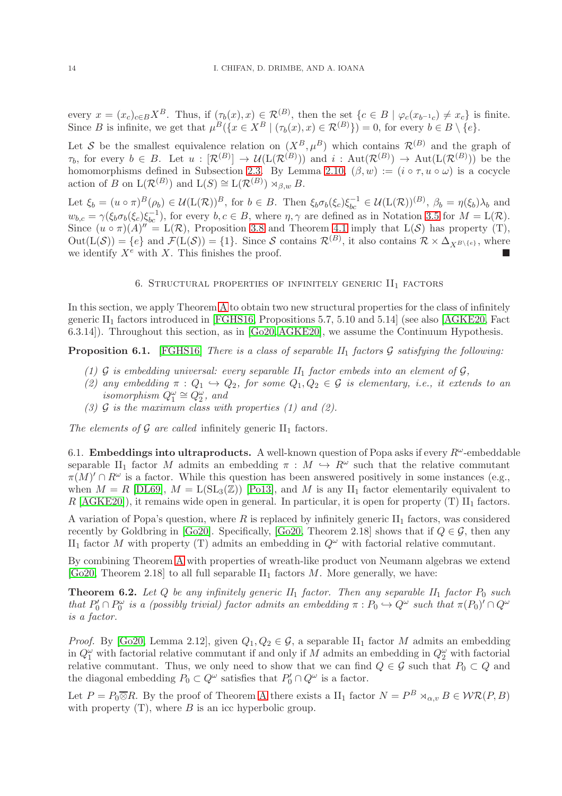every  $x = (x_c)_{c \in B} X^B$ . Thus, if  $(\tau_b(x), x) \in \mathcal{R}^{(B)}$ , then the set  $\{c \in B \mid \varphi_c(x_{b^{-1}c}) \neq x_c\}$  is finite. Since B is infinite, we get that  $\mu^B(\lbrace x \in X^B \mid (\tau_b(x), x) \in \mathcal{R}^{(B)} \rbrace) = 0$ , for every  $b \in B \setminus \lbrace e \rbrace$ .

Let S be the smallest equivalence relation on  $(X^B, \mu^B)$  which contains  $\mathcal{R}^{(B)}$  and the graph of  $\tau_b$ , for every  $b \in B$ . Let  $u : [\mathcal{R}^{(B)}] \to \mathcal{U}(\mathcal{L}(\mathcal{R}^{(B)}))$  and  $i : \mathrm{Aut}(\mathcal{R}^{(B)}) \to \mathrm{Aut}(\mathcal{L}(\mathcal{R}^{(B)}))$  be the homomorphisms defined in Subsection [2.3.](#page-3-1) By Lemma [2.10,](#page-5-4)  $(\beta, w) := (i \circ \tau, u \circ \omega)$  is a cocycle action of B on  $\mathcal{L}(\mathcal{R}^{(B)})$  and  $\mathcal{L}(S) \cong \mathcal{L}(\mathcal{R}^{(B)}) \rtimes_{\beta,w} B$ .

Let  $\xi_b = (u \circ \pi)^B(\rho_b) \in \mathcal{U}(\mathcal{L}(\mathcal{R}))^B$ , for  $b \in B$ . Then  $\xi_b \sigma_b(\xi_c) \xi_{bc}^{-1} \in \mathcal{U}(\mathcal{L}(\mathcal{R}))^{(B)}$ ,  $\beta_b = \eta(\xi_b) \lambda_b$  and  $w_{b,c} = \gamma(\xi_b \sigma_b(\xi_c) \xi_{bc}^{-1}),$  for every  $b, c \in B$ , where  $\eta, \gamma$  are defined as in Notation [3.5](#page-8-3) for  $M = \mathcal{L}(\mathcal{R})$ . Since  $(u \circ \pi)(A)'' = L(\mathcal{R})$ , Proposition [3.8](#page-8-0) and Theorem [4.1](#page-9-0) imply that  $L(\mathcal{S})$  has property (T),  $Out(L(S)) = \{e\}$  and  $\mathcal{F}(L(S)) = \{1\}$ . Since S contains  $\mathcal{R}^{(B)}$ , it also contains  $\mathcal{R} \times \Delta_{X^{B \setminus \{e\}}}$ , where we identify  $X^e$  with X. This finishes the proof.

### 6. STRUCTURAL PROPERTIES OF INFINITELY GENERIC  $II_1$  factors

In this section, we apply Theorem [A](#page-0-0) to obtain two new structural properties for the class of infinitely generic  $II_1$  factors introduced in [\[FGHS16,](#page-15-20) Propositions 5.7, 5.10 and 5.14] (see also [\[AGKE20,](#page-15-5) Fact 6.3.14]). Throughout this section, as in [\[Go20,](#page-15-15) [AGKE20\]](#page-15-5), we assume the Continuum Hypothesis.

<span id="page-13-1"></span>**Proposition 6.1.** [\[FGHS16\]](#page-15-20) There is a class of separable  $II_1$  factors  $\mathcal G$  satisfying the following:

- (1)  $\mathcal G$  is embedding universal: every separable  $II_1$  factor embeds into an element of  $\mathcal G$ ,
- (2) any embedding  $\pi: Q_1 \hookrightarrow Q_2$ , for some  $Q_1, Q_2 \in \mathcal{G}$  is elementary, i.e., it extends to an isomorphism  $Q_1^{\omega} \cong Q_2^{\omega}$ , and
- (3)  $\mathcal G$  is the maximum class with properties (1) and (2).

The elements of  $G$  are called infinitely generic  $II_1$  factors.

6.1. **Embeddings into ultraproducts.** A well-known question of Popa asks if every  $R^{\omega}$ -embeddable separable II<sub>1</sub> factor M admits an embedding  $\pi : M \hookrightarrow R^{\omega}$  such that the relative commutant  $\pi(M)' \cap R^{\omega}$  is a factor. While this question has been answered positively in some instances (e.g., when  $M = R$  [\[DL69\]](#page-15-21),  $M = L(SL_3(\mathbb{Z}))$  [\[Po13\]](#page-16-14), and M is any II<sub>1</sub> factor elementarily equivalent to  $R$  [\[AGKE20\]](#page-15-5)), it remains wide open in general. In particular, it is open for property (T) II<sub>1</sub> factors.

A variation of Popa's question, where R is replaced by infinitely generic  $II_1$  factors, was considered recently by Goldbring in [\[Go20\]](#page-15-15). Specifically, [\[Go20,](#page-15-15) Theorem 2.18] shows that if  $Q \in \mathcal{G}$ , then any II<sub>1</sub> factor M with property (T) admits an embedding in  $Q^{\omega}$  with factorial relative commutant.

By combining Theorem [A](#page-0-0) with properties of wreath-like product von Neumann algebras we extend [\[Go20,](#page-15-15) Theorem 2.18] to all full separable  $II_1$  factors M. More generally, we have:

<span id="page-13-0"></span>**Theorem 6.2.** Let Q be any infinitely generic  $II_1$  factor. Then any separable  $II_1$  factor  $P_0$  such that  $P'_0 \cap P_0^{\omega}$  is a (possibly trivial) factor admits an embedding  $\pi : P_0 \hookrightarrow Q^{\omega}$  such that  $\pi(P_0)' \cap Q^{\omega}$ is a factor.

*Proof.* By [\[Go20,](#page-15-15) Lemma 2.12], given  $Q_1, Q_2 \in \mathcal{G}$ , a separable II<sub>1</sub> factor M admits an embedding in  $Q_1^{\omega}$  with factorial relative commutant if and only if M admits an embedding in  $Q_2^{\omega}$  with factorial relative commutant. Thus, we only need to show that we can find  $Q \in \mathcal{G}$  such that  $P_0 \subset Q$  and the diagonal embedding  $P_0 \subset Q^{\omega}$  satisfies that  $P'_0 \cap Q^{\omega}$  is a factor.

Let  $P = P_0 \overline{\otimes} R$ . By the proof of Theorem [A](#page-0-0) there exists a  $\text{II}_1$  factor  $N = P^B \rtimes_{\alpha,v} B \in \mathcal{WR}(P,B)$ with property  $(T)$ , where  $B$  is an icc hyperbolic group.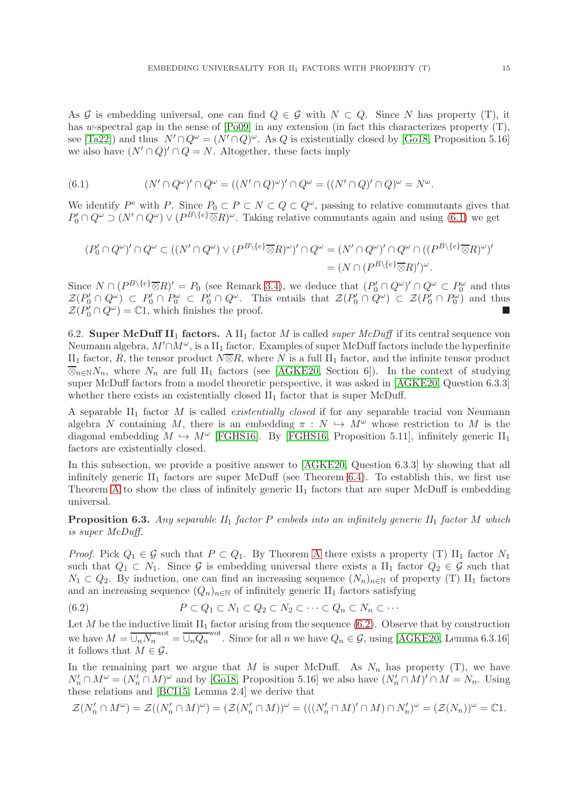As G is embedding universal, one can find  $Q \in \mathcal{G}$  with  $N \subset Q$ . Since N has property (T), it has w-spectral gap in the sense of  $[Po09]$  in any extension (in fact this characterizes property (T), see [\[Ta22\]](#page-16-16)) and thus  $N' \cap Q^{\omega} = (N' \cap Q)^{\omega}$ . As Q is existentially closed by [\[Go18,](#page-15-22) Proposition 5.16] we also have  $(N' \cap Q)' \cap Q = N$ . Altogether, these facts imply

<span id="page-14-0"></span>(6.1) 
$$
(N' \cap Q^{\omega})' \cap Q^{\omega} = ((N' \cap Q)^{\omega})' \cap Q^{\omega} = ((N' \cap Q)' \cap Q)^{\omega} = N^{\omega}.
$$

We identify  $P^e$  with P. Since  $P_0 \subset P \subset N \subset Q \subset Q^{\omega}$ , passing to relative commutants gives that  $P'_0 \cap Q^{\omega} \supset (N' \cap Q^{\omega}) \vee (P^{B \setminus \{e\}} \overline{\otimes} R)^{\omega}$ . Taking relative commutants again and using [\(6.1\)](#page-14-0) we get

$$
(P'_0 \cap Q^{\omega})' \cap Q^{\omega} \subset ((N' \cap Q^{\omega}) \vee (P^{B \setminus \{e\}} \overline{\otimes} R)^{\omega})' \cap Q^{\omega} = (N' \cap Q^{\omega})' \cap Q^{\omega} \cap ((P^{B \setminus \{e\}} \overline{\otimes} R)^{\omega})' = (N \cap (P^{B \setminus \{e\}} \overline{\otimes} R)')^{\omega}.
$$

Since  $N \cap (P^{B\setminus\{e\}}\overline{\otimes}R)' = P_0$  (see Remark [3.4\)](#page-8-4), we deduce that  $(P'_0 \cap Q^{\omega})' \cap Q^{\omega} \subset P_0^{\omega}$  and thus  $\mathcal{Z}(P_0' \cap Q^{\omega}) \subset P_0' \cap P_0^{\omega} \subset P_0' \cap Q^{\omega}$ . This entails that  $\mathcal{Z}(P_0' \cap Q^{\omega}) \subset \mathcal{Z}(P_0' \cap P_0^{\omega})$  and thus  $\mathcal{Z}(P_0' \cap Q^{\omega}) = \mathbb{C}1$ , which finishes the proof.

6.2. Super McDuff II<sub>1</sub> factors. A II<sub>1</sub> factor M is called *super McDuff* if its central sequence von Neumann algebra,  $M' \cap M^\omega$ , is a II<sub>1</sub> factor. Examples of super McDuff factors include the hyperfinite II<sub>1</sub> factor, R, the tensor product  $N\overline{\otimes}R$ , where N is a full II<sub>1</sub> factor, and the infinite tensor product  $\overline{\otimes}_{n\in\mathbb{N}}N_n$ , where  $N_n$  are full II<sub>1</sub> factors (see [\[AGKE20,](#page-15-5) Section 6]). In the context of studying super McDuff factors from a model theoretic perspective, it was asked in [\[AGKE20,](#page-15-5) Question 6.3.3] whether there exists an existentially closed  $II_1$  factor that is super McDuff.

A separable  $II_1$  factor M is called *existentially closed* if for any separable tracial von Neumann algebra N containing M, there is an embedding  $\pi : N \hookrightarrow M^{\omega}$  whose restriction to M is the diagonal embedding  $M \hookrightarrow M^{\omega}$  [\[FGHS16\]](#page-15-20). By [\[FGHS16,](#page-15-20) Proposition 5.11], infinitely generic  $II_1$ factors are existentially closed.

In this subsection, we provide a positive answer to [\[AGKE20,](#page-15-5) Question 6.3.3] by showing that all infinitely generic  $II_1$  factors are super McDuff (see Theorem [6.4\)](#page-15-16). To establish this, we first use Theorem [A](#page-0-0) to show the class of infinitely generic  $II_1$  factors that are super McDuff is embedding universal.

<span id="page-14-2"></span>**Proposition 6.3.** Any separable  $II_1$  factor P embeds into an infinitely generic  $II_1$  factor M which is super McDuff.

*Proof.* Pick  $Q_1 \in \mathcal{G}$  such that  $P \subset Q_1$ . By Theorem [A](#page-0-0) there exists a property (T) II<sub>1</sub> factor  $N_1$ such that  $Q_1 \subset N_1$ . Since G is embedding universal there exists a II<sub>1</sub> factor  $Q_2 \in \mathcal{G}$  such that  $N_1 \subset Q_2$ . By induction, one can find an increasing sequence  $(N_n)_{n\in\mathbb{N}}$  of property (T) II<sub>1</sub> factors and an increasing sequence  $(Q_n)_{n\in\mathbb{N}}$  of infinitely generic  $\text{II}_1$  factors satisfying

<span id="page-14-1"></span>(6.2) 
$$
P \subset Q_1 \subset N_1 \subset Q_2 \subset N_2 \subset \cdots \subset Q_n \subset N_n \subset \cdots
$$

Let M be the inductive limit  $II_1$  factor arising from the sequence [\(6.2\)](#page-14-1). Observe that by construction we have  $M = \overline{\bigcup_n N_n}^{\text{wot}} = \overline{\bigcup_n Q_n}^{\text{wot}}$ . Since for all n we have  $Q_n \in \mathcal{G}$ , using [\[AGKE20,](#page-15-5) Lemma 6.3.16] it follows that  $M \in \mathcal{G}$ .

In the remaining part we argue that M is super McDuff. As  $N_n$  has property (T), we have  $N'_n \cap M^\omega = (N'_n \cap M)^\omega$  and by [\[Go18,](#page-15-22) Proposition 5.16] we also have  $(N'_n \cap M)' \cap M = N_n$ . Using these relations and [\[BCI15,](#page-15-23) Lemma 2.4] we derive that

$$
\mathcal{Z}(N_n'\cap M^\omega)=\mathcal{Z}((N_n'\cap M)^\omega)=(\mathcal{Z}(N_n'\cap M))^\omega=(((N_n'\cap M)'\cap M)\cap N_n')^\omega=(\mathcal{Z}(N_n))^\omega=\mathbb{C}1.
$$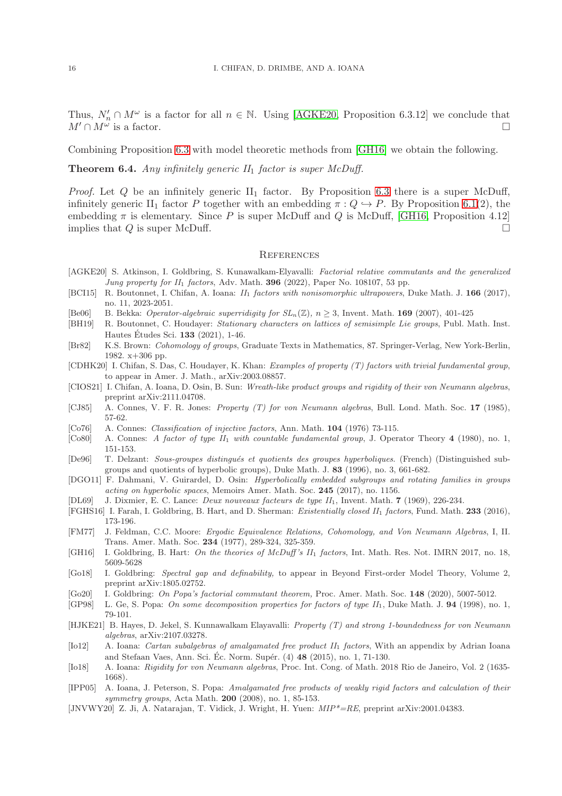Thus,  $N'_n \cap M^\omega$  is a factor for all  $n \in \mathbb{N}$ . Using [\[AGKE20,](#page-15-5) Proposition 6.3.12] we conclude that  $M' \cap M^{\omega}$  is a factor. is a factor.  $\Box$ 

Combining Proposition [6.3](#page-14-2) with model theoretic methods from [\[GH16\]](#page-15-24) we obtain the following.

<span id="page-15-16"></span>**Theorem 6.4.** Any infinitely generic  $II_1$  factor is super McDuff.

*Proof.* Let  $Q$  be an infinitely generic  $II_1$  factor. By Proposition [6.3](#page-14-2) there is a super McDuff, infinitely generic II<sub>1</sub> factor P together with an embedding  $\pi: Q \hookrightarrow P$ . By Proposition [6.1\(](#page-13-1)2), the embedding  $\pi$  is elementary. Since P is super McDuff and Q is McDuff, [\[GH16,](#page-15-24) Proposition 4.12] implies that  $Q$  is super McDuff.  $\Box$ 

# **REFERENCES**

- <span id="page-15-5"></span>[AGKE20] S. Atkinson, I. Goldbring, S. Kunawalkam-Elyavalli: Factorial relative commutants and the generalized Jung property for  $II_1$  factors, Adv. Math. 396 (2022), Paper No. 108107, 53 pp.
- <span id="page-15-23"></span>[BCI15] R. Boutonnet, I. Chifan, A. Ioana:  $II_1$  factors with nonisomorphic ultrapowers, Duke Math. J. 166 (2017), no. 11, 2023-2051.
- <span id="page-15-11"></span>[Be06] B. Bekka: *Operator-algebraic superridigity for*  $SL_n(\mathbb{Z})$ ,  $n \geq 3$ , Invent. Math. **169** (2007), 401-425
- <span id="page-15-12"></span>[BH19] R. Boutonnet, C. Houdayer: Stationary characters on lattices of semisimple Lie groups, Publ. Math. Inst. Hautes Études Sci.  $133$  (2021), 1-46.
- <span id="page-15-18"></span>[Br82] K.S. Brown: Cohomology of groups, Graduate Texts in Mathematics, 87. Springer-Verlag, New York-Berlin, 1982. x+306 pp.
- <span id="page-15-14"></span>[CDHK20] I. Chifan, S. Das, C. Houdayer, K. Khan: Examples of property (T) factors with trivial fundamental group, to appear in Amer. J. Math., arXiv:2003.08857.
- <span id="page-15-0"></span>[CIOS21] I. Chifan, A. Ioana, D. Osin, B. Sun: Wreath-like product groups and rigidity of their von Neumann algebras, preprint arXiv:2111.04708.
- <span id="page-15-2"></span>[CJ85] A. Connes, V. F. R. Jones: Property (T) for von Neumann algebras, Bull. Lond. Math. Soc. 17 (1985), 57-62.
- <span id="page-15-8"></span>[Co76] A. Connes: Classification of injective factors, Ann. Math. 104 (1976) 73-115.
- <span id="page-15-1"></span>[Co80] A. Connes: A factor of type II<sub>1</sub> with countable fundamental group, J. Operator Theory 4 (1980), no. 1, 151-153.
- <span id="page-15-4"></span>[De96] T. Delzant: Sous-groupes distingués et quotients des groupes hyperboliques. (French) (Distinguished subgroups and quotients of hyperbolic groups), Duke Math. J. 83 (1996), no. 3, 661-682.
- <span id="page-15-10"></span>[DGO11] F. Dahmani, V. Guirardel, D. Osin: Hyperbolically embedded subgroups and rotating families in groups acting on hyperbolic spaces, Memoirs Amer. Math. Soc. 245 (2017), no. 1156.
- <span id="page-15-21"></span>[DL69] J. Dixmier, E. C. Lance: *Deux nouveaux facteurs de type II*<sub>1</sub>, Invent. Math. 7 (1969), 226-234.
- <span id="page-15-20"></span>[FGHS16] I. Farah, I. Goldbring, B. Hart, and D. Sherman: Existentially closed II<sup>1</sup> factors, Fund. Math. 233 (2016), 173-196.
- <span id="page-15-17"></span>[FM77] J. Feldman, C.C. Moore: Ergodic Equivalence Relations, Cohomology, and Von Neumann Algebras, I, II. Trans. Amer. Math. Soc. 234 (1977), 289-324, 325-359.
- <span id="page-15-24"></span>[GH16] I. Goldbring, B. Hart: On the theories of McDuff's II<sub>1</sub> factors, Int. Math. Res. Not. IMRN 2017, no. 18, 5609-5628
- <span id="page-15-22"></span>[Go18] I. Goldbring: Spectral gap and definability, to appear in Beyond First-order Model Theory, Volume 2, preprint arXiv:1805.02752.
- <span id="page-15-15"></span>[Go20] I. Goldbring: On Popa's factorial commutant theorem, Proc. Amer. Math. Soc. 148 (2020), 5007-5012.
- <span id="page-15-6"></span>[GP98] L. Ge, S. Popa: On some decomposition properties for factors of type  $II_1$ , Duke Math. J. 94 (1998), no. 1, 79-101.
- <span id="page-15-19"></span>[HJKE21] B. Hayes, D. Jekel, S. Kunnawalkam Elayavalli: Property (T) and strong 1-boundedness for von Neumann algebras, arXiv:2107.03278.
- <span id="page-15-7"></span>[Io12] A. Ioana: *Cartan subalgebras of amalgamated free product II<sub>1</sub> factors*, With an appendix by Adrian Ioana and Stefaan Vaes, Ann. Sci. Éc. Norm. Supér. (4) 48 (2015), no. 1, 71-130.
- <span id="page-15-3"></span>[Io18] A. Ioana: Rigidity for von Neumann algebras, Proc. Int. Cong. of Math. 2018 Rio de Janeiro, Vol. 2 (1635- 1668).
- <span id="page-15-13"></span>[IPP05] A. Ioana, J. Peterson, S. Popa: Amalgamated free products of weakly rigid factors and calculation of their symmetry groups, Acta Math. 200 (2008), no. 1, 85-153.
- <span id="page-15-9"></span>[JNVWY20] Z. Ji, A. Natarajan, T. Vidick, J. Wright, H. Yuen: MIP\*=RE, preprint arXiv:2001.04383.